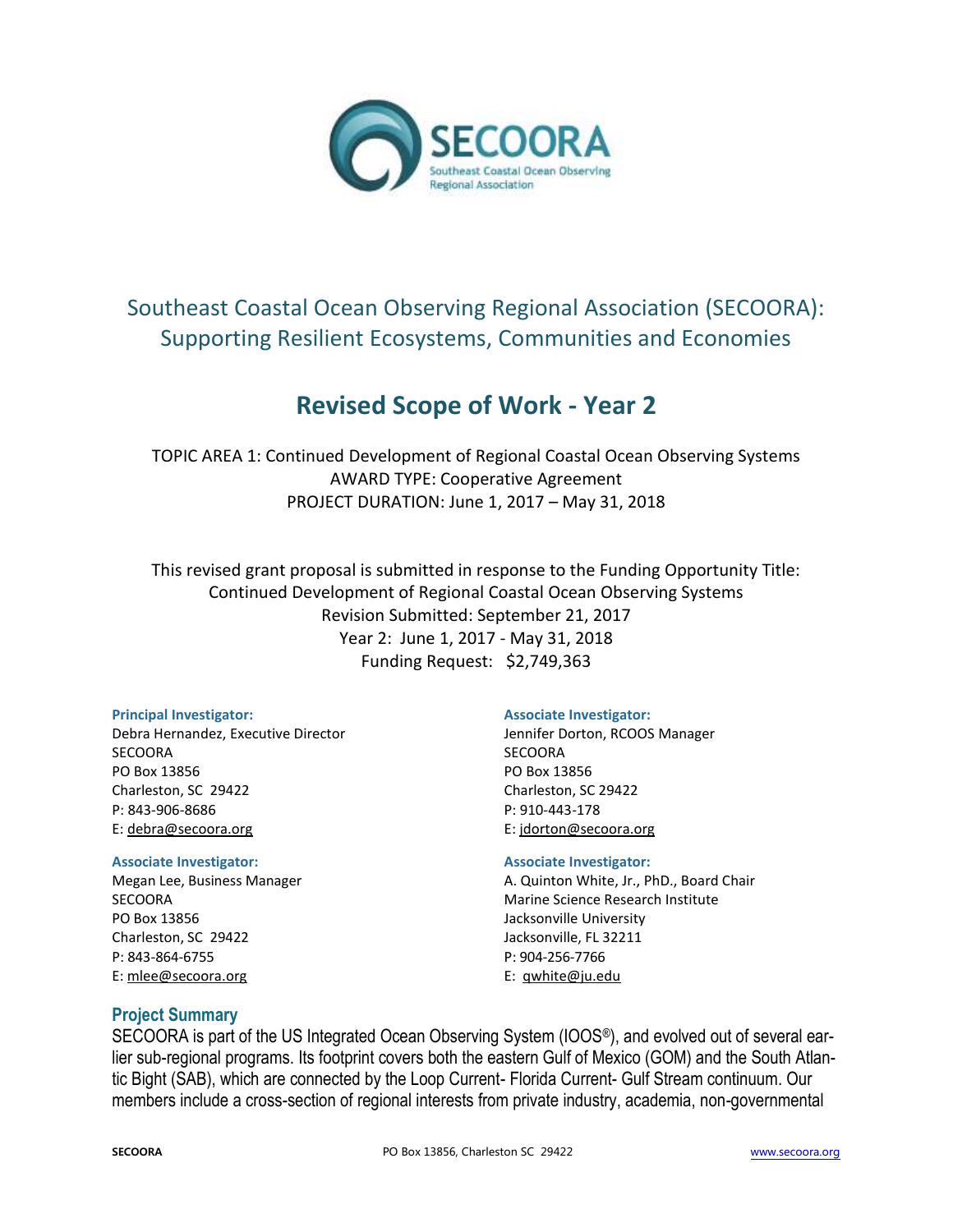

# Southeast Coastal Ocean Observing Regional Association (SECOORA): Supporting Resilient Ecosystems, Communities and Economies

# **Revised Scope of Work - Year 2**

TOPIC AREA 1: Continued Development of Regional Coastal Ocean Observing Systems AWARD TYPE: Cooperative Agreement PROJECT DURATION: June 1, 2017 – May 31, 2018

This revised grant proposal is submitted in response to the Funding Opportunity Title: Continued Development of Regional Coastal Ocean Observing Systems Revision Submitted: September 21, 2017 Year 2: June 1, 2017 - May 31, 2018 Funding Request: \$2,749,363

#### **Principal Investigator:**

Debra Hernandez, Executive Director **SECOORA** PO Box 13856 Charleston, SC 29422 P: 843-906-8686 E: [debra@secoora.org](mailto:susannah@secoora.org)

#### **Associate Investigator:**

Megan Lee, Business Manager SECOORA PO Box 13856 Charleston, SC 29422 P: 843-864-6755 E[: mlee@secoora.org](mailto:mlee@secoora.org)

#### **Associate Investigator:**

Jennifer Dorton, RCOOS Manager **SECOORA** PO Box 13856 Charleston, SC 29422 P: 910-443-178 E: jdorton@secoora.org

#### **Associate Investigator:**

A. Quinton White, Jr., PhD., Board Chair Marine Science Research Institute Jacksonville University Jacksonville, FL 32211 P: 904-256-7766 E: qwhite@ju.edu

# **Project Summary**

SECOORA is part of the US Integrated Ocean Observing System (IOOS®), and evolved out of several earlier sub-regional programs. Its footprint covers both the eastern Gulf of Mexico (GOM) and the South Atlantic Bight (SAB), which are connected by the Loop Current- Florida Current- Gulf Stream continuum. Our members include a cross-section of regional interests from private industry, academia, non-governmental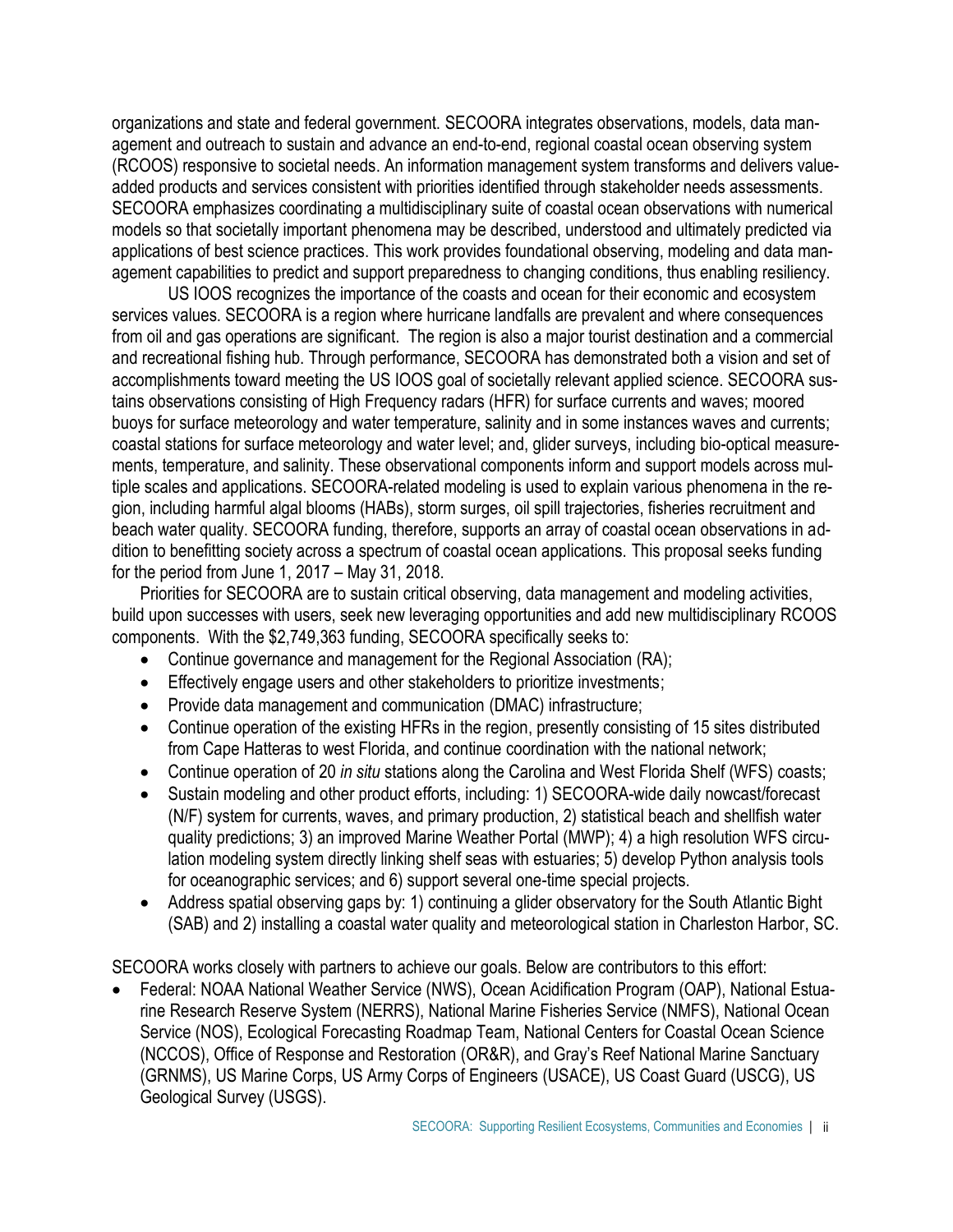organizations and state and federal government. SECOORA integrates observations, models, data management and outreach to sustain and advance an end-to-end, regional coastal ocean observing system (RCOOS) responsive to societal needs. An information management system transforms and delivers valueadded products and services consistent with priorities identified through stakeholder needs assessments. SECOORA emphasizes coordinating a multidisciplinary suite of coastal ocean observations with numerical models so that societally important phenomena may be described, understood and ultimately predicted via applications of best science practices. This work provides foundational observing, modeling and data management capabilities to predict and support preparedness to changing conditions, thus enabling resiliency.

US IOOS recognizes the importance of the coasts and ocean for their economic and ecosystem services values. SECOORA is a region where hurricane landfalls are prevalent and where consequences from oil and gas operations are significant. The region is also a major tourist destination and a commercial and recreational fishing hub. Through performance, SECOORA has demonstrated both a vision and set of accomplishments toward meeting the US IOOS goal of societally relevant applied science. SECOORA sustains observations consisting of High Frequency radars (HFR) for surface currents and waves; moored buoys for surface meteorology and water temperature, salinity and in some instances waves and currents; coastal stations for surface meteorology and water level; and, glider surveys, including bio-optical measurements, temperature, and salinity. These observational components inform and support models across multiple scales and applications. SECOORA-related modeling is used to explain various phenomena in the region, including harmful algal blooms (HABs), storm surges, oil spill trajectories, fisheries recruitment and beach water quality. SECOORA funding, therefore, supports an array of coastal ocean observations in addition to benefitting society across a spectrum of coastal ocean applications. This proposal seeks funding for the period from June 1, 2017 – May 31, 2018.

Priorities for SECOORA are to sustain critical observing, data management and modeling activities, build upon successes with users, seek new leveraging opportunities and add new multidisciplinary RCOOS components. With the \$2,749,363 funding, SECOORA specifically seeks to:

- Continue governance and management for the Regional Association (RA);
- **Effectively engage users and other stakeholders to prioritize investments;**
- Provide data management and communication (DMAC) infrastructure;
- Continue operation of the existing HFRs in the region, presently consisting of 15 sites distributed from Cape Hatteras to west Florida, and continue coordination with the national network;
- Continue operation of 20 *in situ* stations along the Carolina and West Florida Shelf (WFS) coasts;
- Sustain modeling and other product efforts, including: 1) SECOORA-wide daily nowcast/forecast (N/F) system for currents, waves, and primary production, 2) statistical beach and shellfish water quality predictions; 3) an improved Marine Weather Portal (MWP); 4) a high resolution WFS circulation modeling system directly linking shelf seas with estuaries; 5) develop Python analysis tools for oceanographic services; and 6) support several one-time special projects.
- Address spatial observing gaps by: 1) continuing a glider observatory for the South Atlantic Bight (SAB) and 2) installing a coastal water quality and meteorological station in Charleston Harbor, SC.

SECOORA works closely with partners to achieve our goals. Below are contributors to this effort:

 Federal: NOAA National Weather Service (NWS), Ocean Acidification Program (OAP), National Estuarine Research Reserve System (NERRS), National Marine Fisheries Service (NMFS), National Ocean Service (NOS), Ecological Forecasting Roadmap Team, National Centers for Coastal Ocean Science (NCCOS), Office of Response and Restoration (OR&R), and Gray's Reef National Marine Sanctuary (GRNMS), US Marine Corps, US Army Corps of Engineers (USACE), US Coast Guard (USCG), US Geological Survey (USGS).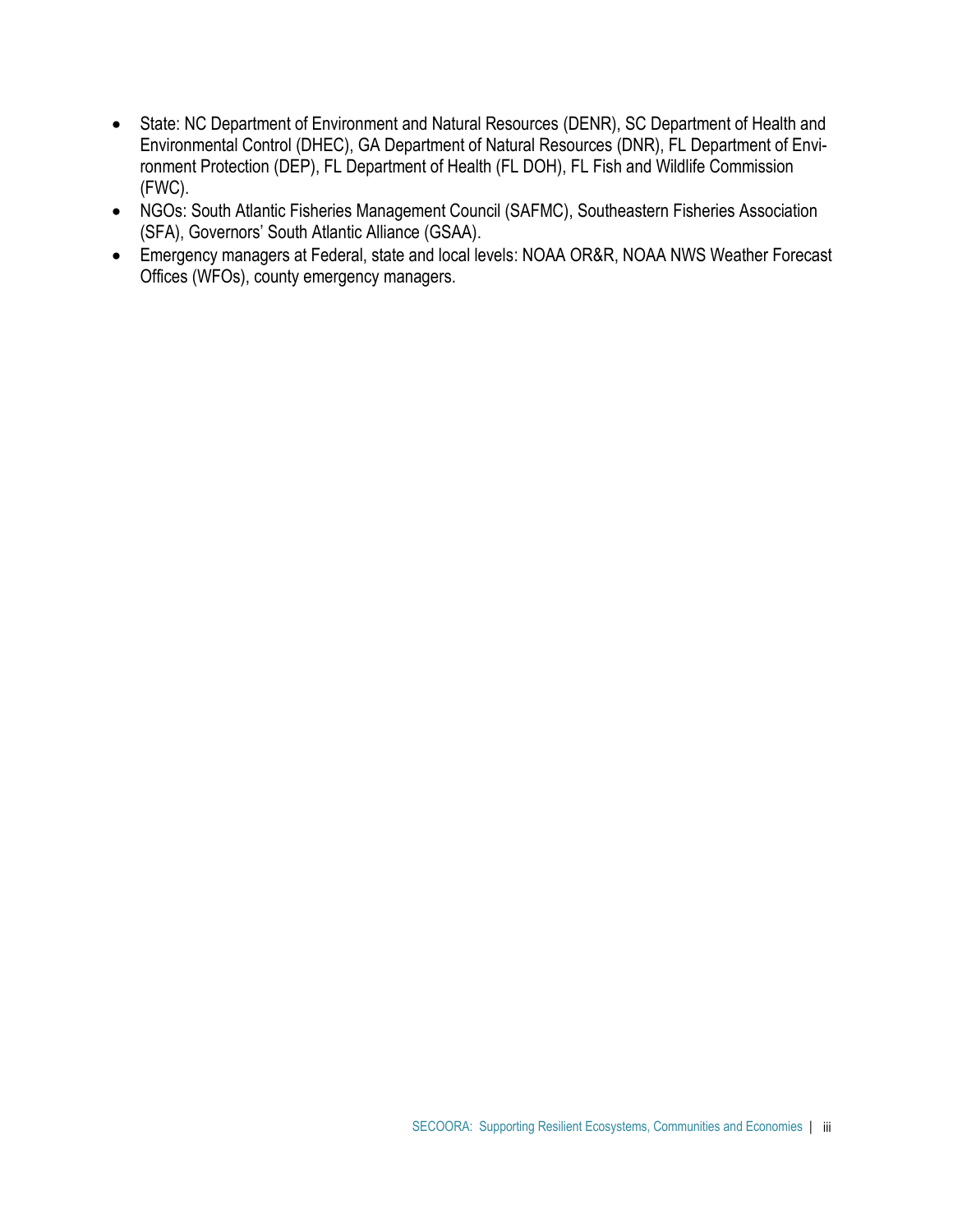- State: NC Department of Environment and Natural Resources (DENR), SC Department of Health and Environmental Control (DHEC), GA Department of Natural Resources (DNR), FL Department of Environment Protection (DEP), FL Department of Health (FL DOH), FL Fish and Wildlife Commission (FWC).
- NGOs: South Atlantic Fisheries Management Council (SAFMC), Southeastern Fisheries Association (SFA), Governors' South Atlantic Alliance (GSAA).
- Emergency managers at Federal, state and local levels: NOAA OR&R, NOAA NWS Weather Forecast Offices (WFOs), county emergency managers.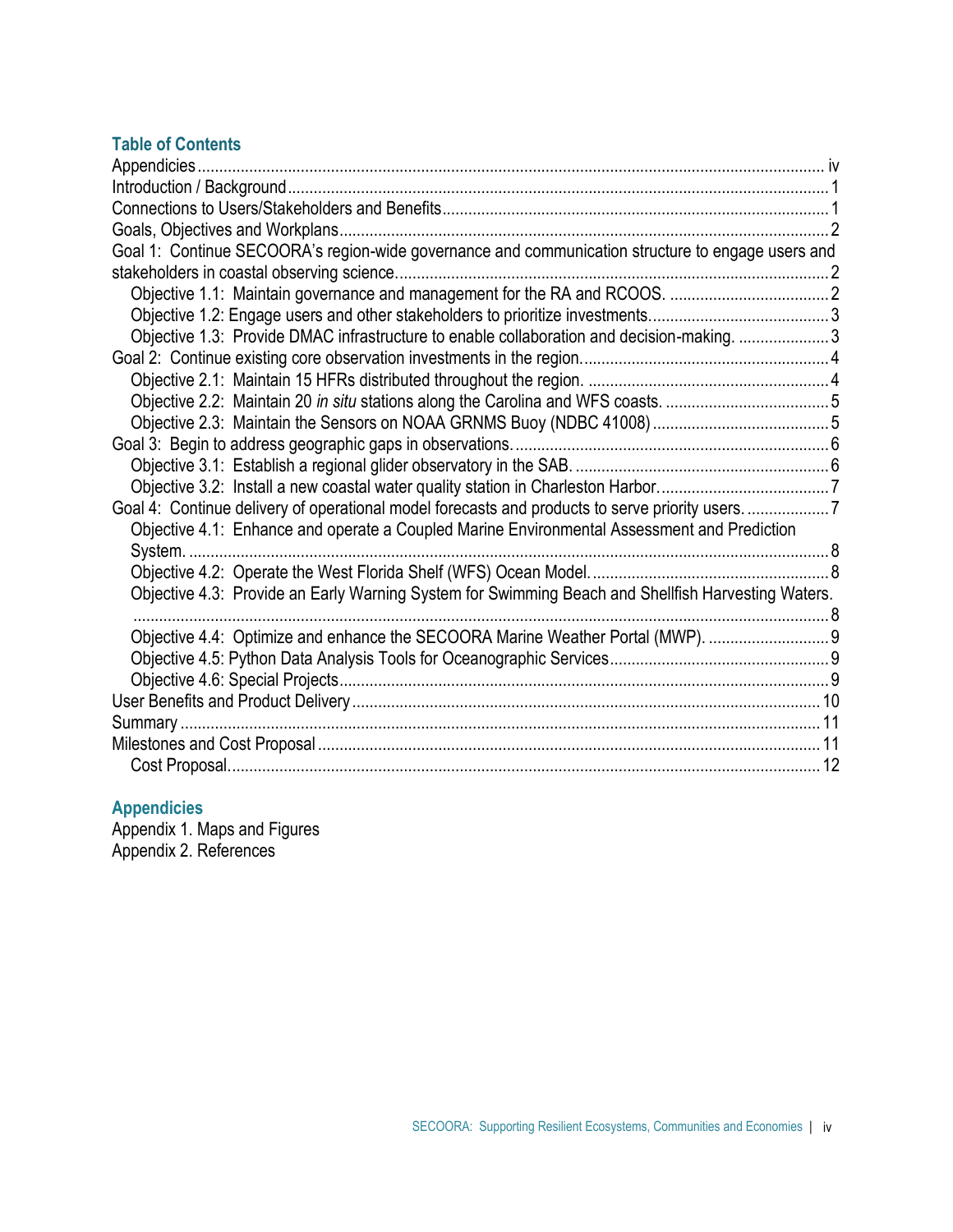# **Table of Contents**

| Goal 1: Continue SECOORA's region-wide governance and communication structure to engage users and  |  |
|----------------------------------------------------------------------------------------------------|--|
|                                                                                                    |  |
|                                                                                                    |  |
|                                                                                                    |  |
| Objective 1.3: Provide DMAC infrastructure to enable collaboration and decision-making. 3          |  |
|                                                                                                    |  |
|                                                                                                    |  |
|                                                                                                    |  |
|                                                                                                    |  |
|                                                                                                    |  |
|                                                                                                    |  |
|                                                                                                    |  |
| Goal 4: Continue delivery of operational model forecasts and products to serve priority users7     |  |
| Objective 4.1: Enhance and operate a Coupled Marine Environmental Assessment and Prediction        |  |
|                                                                                                    |  |
|                                                                                                    |  |
| Objective 4.3: Provide an Early Warning System for Swimming Beach and Shellfish Harvesting Waters. |  |
|                                                                                                    |  |
| Objective 4.4: Optimize and enhance the SECOORA Marine Weather Portal (MWP).                       |  |
|                                                                                                    |  |
|                                                                                                    |  |
|                                                                                                    |  |
|                                                                                                    |  |
|                                                                                                    |  |
|                                                                                                    |  |

# **Appendicies**

Appendix 1. Maps and Figures Appendix 2. References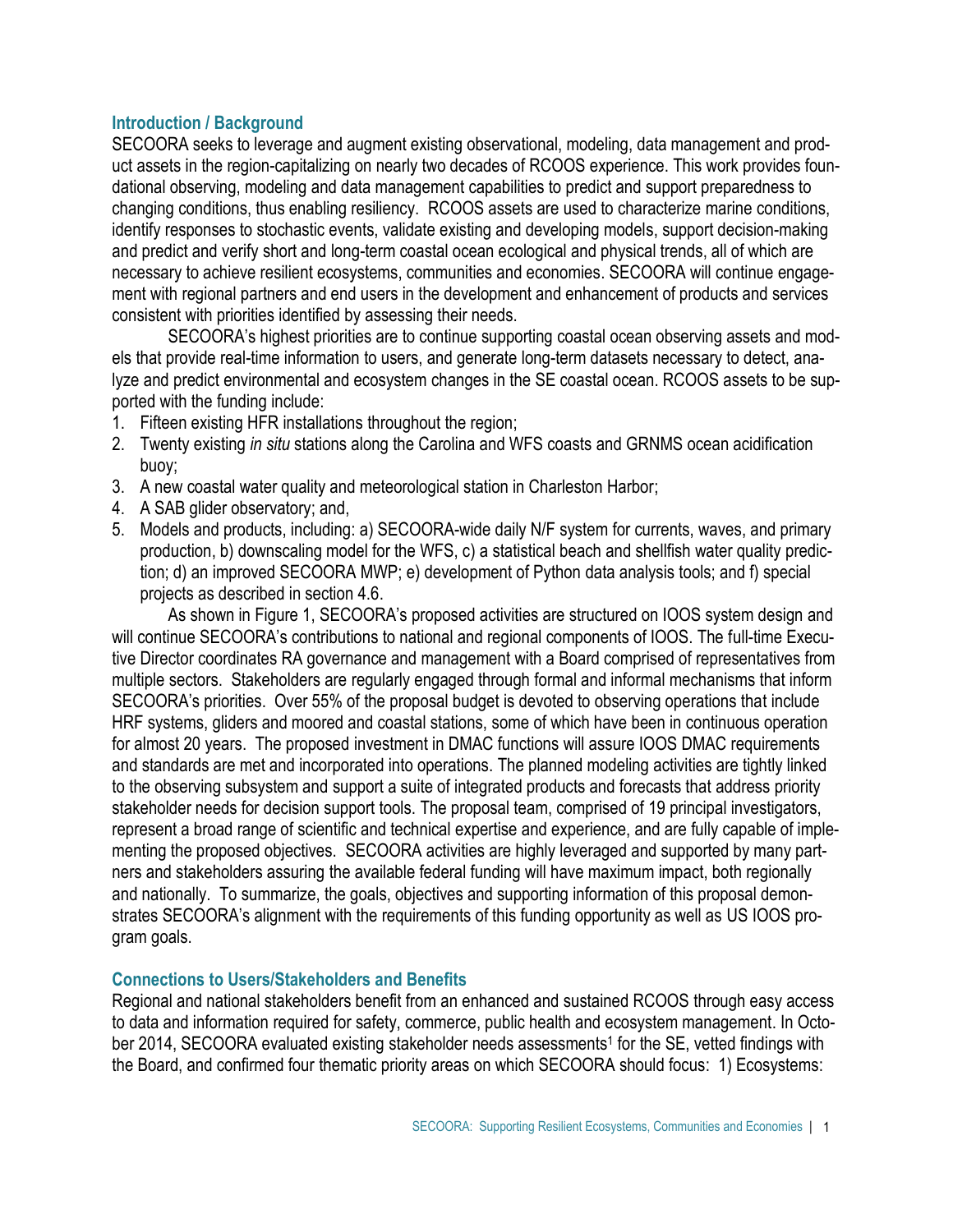# **Introduction / Background**

SECOORA seeks to leverage and augment existing observational, modeling, data management and product assets in the region-capitalizing on nearly two decades of RCOOS experience. This work provides foundational observing, modeling and data management capabilities to predict and support preparedness to changing conditions, thus enabling resiliency. RCOOS assets are used to characterize marine conditions, identify responses to stochastic events, validate existing and developing models, support decision-making and predict and verify short and long-term coastal ocean ecological and physical trends, all of which are necessary to achieve resilient ecosystems, communities and economies. SECOORA will continue engagement with regional partners and end users in the development and enhancement of products and services consistent with priorities identified by assessing their needs.

SECOORA's highest priorities are to continue supporting coastal ocean observing assets and models that provide real-time information to users, and generate long-term datasets necessary to detect, analyze and predict environmental and ecosystem changes in the SE coastal ocean. RCOOS assets to be supported with the funding include:

- 1. Fifteen existing HFR installations throughout the region;
- 2. Twenty existing *in situ* stations along the Carolina and WFS coasts and GRNMS ocean acidification buoy;
- 3. A new coastal water quality and meteorological station in Charleston Harbor;
- 4. A SAB glider observatory; and,
- 5. Models and products, including: a) SECOORA-wide daily N/F system for currents, waves, and primary production, b) downscaling model for the WFS, c) a statistical beach and shellfish water quality prediction; d) an improved SECOORA MWP; e) development of Python data analysis tools; and f) special projects as described in section 4.6.

As shown in Figure 1, SECOORA's proposed activities are structured on IOOS system design and will continue SECOORA's contributions to national and regional components of IOOS. The full-time Executive Director coordinates RA governance and management with a Board comprised of representatives from multiple sectors. Stakeholders are regularly engaged through formal and informal mechanisms that inform SECOORA's priorities. Over 55% of the proposal budget is devoted to observing operations that include HRF systems, gliders and moored and coastal stations, some of which have been in continuous operation for almost 20 years. The proposed investment in DMAC functions will assure IOOS DMAC requirements and standards are met and incorporated into operations. The planned modeling activities are tightly linked to the observing subsystem and support a suite of integrated products and forecasts that address priority stakeholder needs for decision support tools. The proposal team, comprised of 19 principal investigators, represent a broad range of scientific and technical expertise and experience, and are fully capable of implementing the proposed objectives. SECOORA activities are highly leveraged and supported by many partners and stakeholders assuring the available federal funding will have maximum impact, both regionally and nationally. To summarize, the goals, objectives and supporting information of this proposal demonstrates SECOORA's alignment with the requirements of this funding opportunity as well as US IOOS program goals.

# **Connections to Users/Stakeholders and Benefits**

Regional and national stakeholders benefit from an enhanced and sustained RCOOS through easy access to data and information required for safety, commerce, public health and ecosystem management. In October 2014, SECOORA evaluated existing stakeholder needs assessments<sup>1</sup> for the SE, vetted findings with the Board, and confirmed four thematic priority areas on which SECOORA should focus: 1) Ecosystems: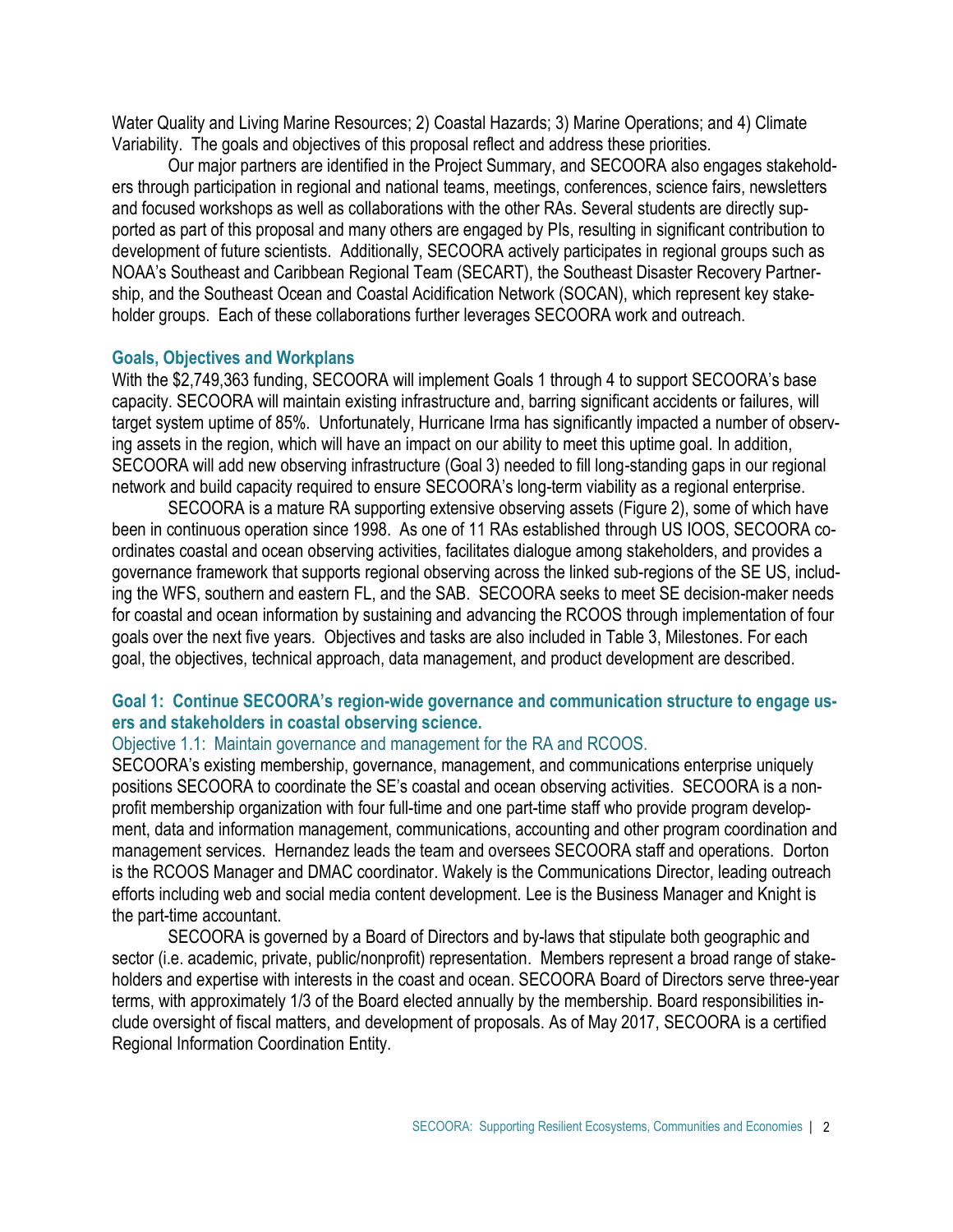Water Quality and Living Marine Resources; 2) Coastal Hazards; 3) Marine Operations; and 4) Climate Variability. The goals and objectives of this proposal reflect and address these priorities.

Our major partners are identified in the Project Summary, and SECOORA also engages stakeholders through participation in regional and national teams, meetings, conferences, science fairs, newsletters and focused workshops as well as collaborations with the other RAs. Several students are directly supported as part of this proposal and many others are engaged by PIs, resulting in significant contribution to development of future scientists. Additionally, SECOORA actively participates in regional groups such as NOAA's Southeast and Caribbean Regional Team (SECART), the Southeast Disaster Recovery Partnership, and the Southeast Ocean and Coastal Acidification Network (SOCAN), which represent key stakeholder groups. Each of these collaborations further leverages SECOORA work and outreach.

# **Goals, Objectives and Workplans**

With the \$2,749,363 funding, SECOORA will implement Goals 1 through 4 to support SECOORA's base capacity. SECOORA will maintain existing infrastructure and, barring significant accidents or failures, will target system uptime of 85%. Unfortunately, Hurricane Irma has significantly impacted a number of observing assets in the region, which will have an impact on our ability to meet this uptime goal. In addition, SECOORA will add new observing infrastructure (Goal 3) needed to fill long-standing gaps in our regional network and build capacity required to ensure SECOORA's long-term viability as a regional enterprise.

SECOORA is a mature RA supporting extensive observing assets (Figure 2), some of which have been in continuous operation since 1998. As one of 11 RAs established through US IOOS, SECOORA coordinates coastal and ocean observing activities, facilitates dialogue among stakeholders, and provides a governance framework that supports regional observing across the linked sub-regions of the SE US, including the WFS, southern and eastern FL, and the SAB. SECOORA seeks to meet SE decision-maker needs for coastal and ocean information by sustaining and advancing the RCOOS through implementation of four goals over the next five years. Objectives and tasks are also included in Table 3, Milestones. For each goal, the objectives, technical approach, data management, and product development are described.

# **Goal 1: Continue SECOORA's region-wide governance and communication structure to engage users and stakeholders in coastal observing science.**

#### Objective 1.1: Maintain governance and management for the RA and RCOOS.

SECOORA's existing membership, governance, management, and communications enterprise uniquely positions SECOORA to coordinate the SE's coastal and ocean observing activities. SECOORA is a nonprofit membership organization with four full-time and one part-time staff who provide program development, data and information management, communications, accounting and other program coordination and management services. Hernandez leads the team and oversees SECOORA staff and operations. Dorton is the RCOOS Manager and DMAC coordinator. Wakely is the Communications Director, leading outreach efforts including web and social media content development. Lee is the Business Manager and Knight is the part-time accountant.

SECOORA is governed by a Board of Directors and [by-laws](http://secoora.org/members/governance/by-laws#navigation) that stipulate both geographic and sector (i.e. academic, private, public/nonprofit) representation. [Members](http://secoora.org/about/membership#navigation) represent a broad range of stakeholders and expertise with interests in the coast and ocean. SECOORA Board of Directors serve three-year terms, with approximately 1/3 of the Board elected annually by the membership. Board responsibilities include oversight of fiscal matters, and development of proposals. As of May 2017, SECOORA is a certified Regional Information Coordination Entity.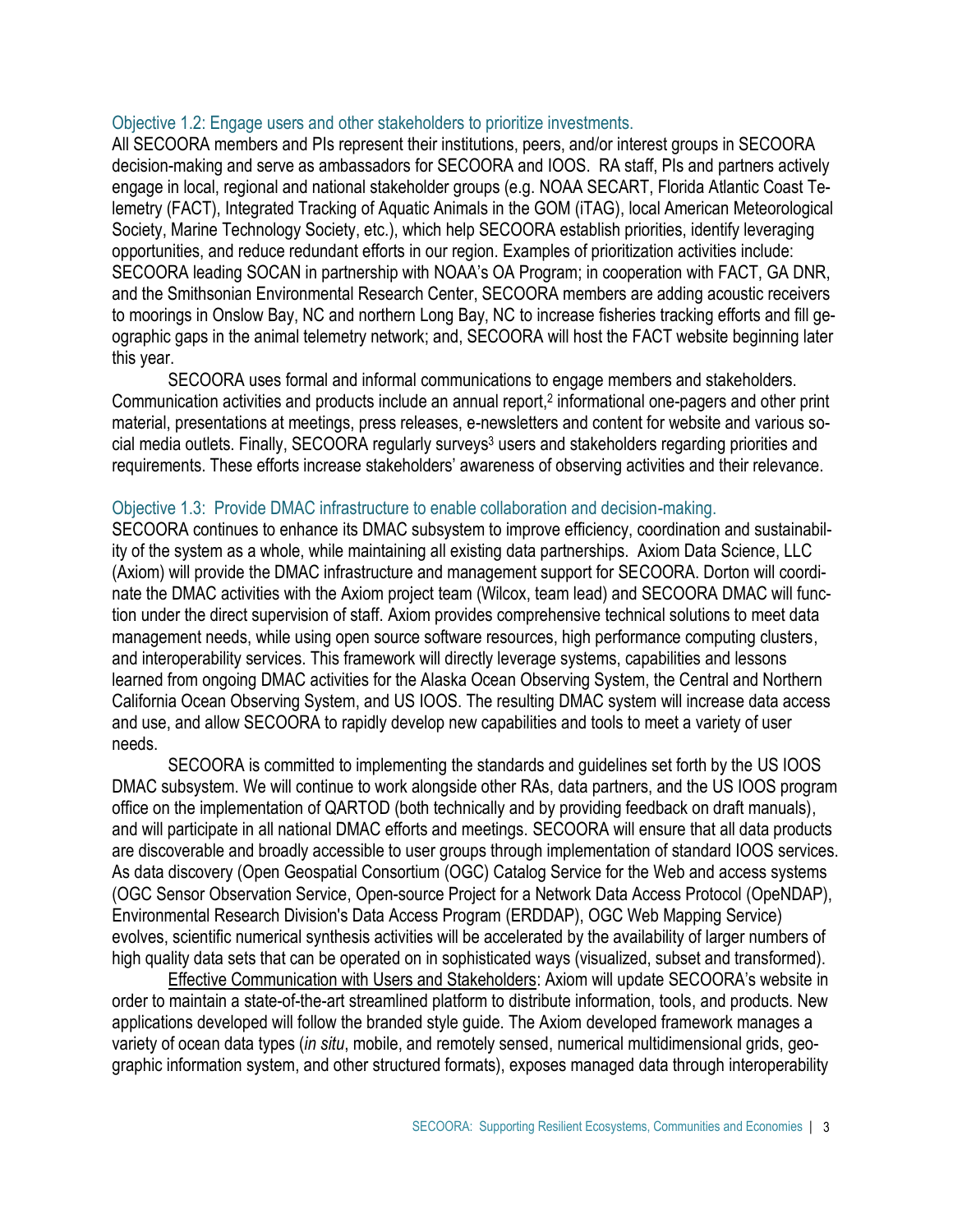#### Objective 1.2: Engage users and other stakeholders to prioritize investments.

All SECOORA members and PIs represent their institutions, peers, and/or interest groups in SECOORA decision-making and serve as ambassadors for SECOORA and IOOS. RA staff, PIs and partners actively engage in local, regional and national stakeholder groups (e.g. NOAA SECART, Florida Atlantic Coast Telemetry (FACT), Integrated Tracking of Aquatic Animals in the GOM (iTAG), local American Meteorological Society, Marine Technology Society, etc.), which help SECOORA establish priorities, identify leveraging opportunities, and reduce redundant efforts in our region. Examples of prioritization activities include: SECOORA leading SOCAN in partnership with NOAA's OA Program; in cooperation with FACT, GA DNR, and the Smithsonian Environmental Research Center, SECOORA members are adding acoustic receivers to moorings in Onslow Bay, NC and northern Long Bay, NC to increase fisheries tracking efforts and fill geographic gaps in the animal telemetry network; and, SECOORA will host the FACT website beginning later this year.

SECOORA uses formal and informal communications to engage members and stakeholders. Communication activities and products include an annual report,<sup>2</sup> informational one-pagers and other print material, presentations at meetings, press releases, e-newsletters and content for website and various social media outlets. Finally, SECOORA regularly surveys<sup>3</sup> users and stakeholders regarding priorities and requirements. These efforts increase stakeholders' awareness of observing activities and their relevance.

#### Objective 1.3: Provide DMAC infrastructure to enable collaboration and decision-making.

SECOORA continues to enhance its DMAC subsystem to improve efficiency, coordination and sustainability of the system as a whole, while maintaining all existing data partnerships. Axiom Data Science, LLC (Axiom) will provide the DMAC infrastructure and management support for SECOORA. Dorton will coordinate the DMAC activities with the Axiom project team (Wilcox, team lead) and SECOORA DMAC will function under the direct supervision of staff. Axiom provides comprehensive technical solutions to meet data management needs, while using open source software resources, high performance computing clusters, and interoperability services. This framework will directly leverage systems, capabilities and lessons learned from ongoing DMAC activities for the Alaska Ocean Observing System, the Central and Northern California Ocean Observing System, and US IOOS. The resulting DMAC system will increase data access and use, and allow SECOORA to rapidly develop new capabilities and tools to meet a variety of user needs.

SECOORA is committed to implementing the standards and guidelines set forth by the US IOOS DMAC subsystem. We will continue to work alongside other RAs, data partners, and the US IOOS program office on the implementation of QARTOD (both technically and by providing feedback on draft manuals), and will participate in all national DMAC efforts and meetings. SECOORA will ensure that all data products are discoverable and broadly accessible to user groups through implementation of standard IOOS services. As data discovery (Open Geospatial Consortium (OGC) Catalog Service for the Web and access systems (OGC Sensor Observation Service, Open-source Project for a Network Data Access Protocol (OpeNDAP), Environmental Research Division's Data Access Program (ERDDAP), OGC Web Mapping Service) evolves, scientific numerical synthesis activities will be accelerated by the availability of larger numbers of high quality data sets that can be operated on in sophisticated ways (visualized, subset and transformed).

Effective Communication with Users and Stakeholders: Axiom will update SECOORA's website in order to maintain a state-of-the-art streamlined platform to distribute information, tools, and products. New applications developed will follow the branded style guide. The Axiom developed framework manages a variety of ocean data types (*in situ*, mobile, and remotely sensed, numerical multidimensional grids, geographic information system, and other structured formats), exposes managed data through interoperability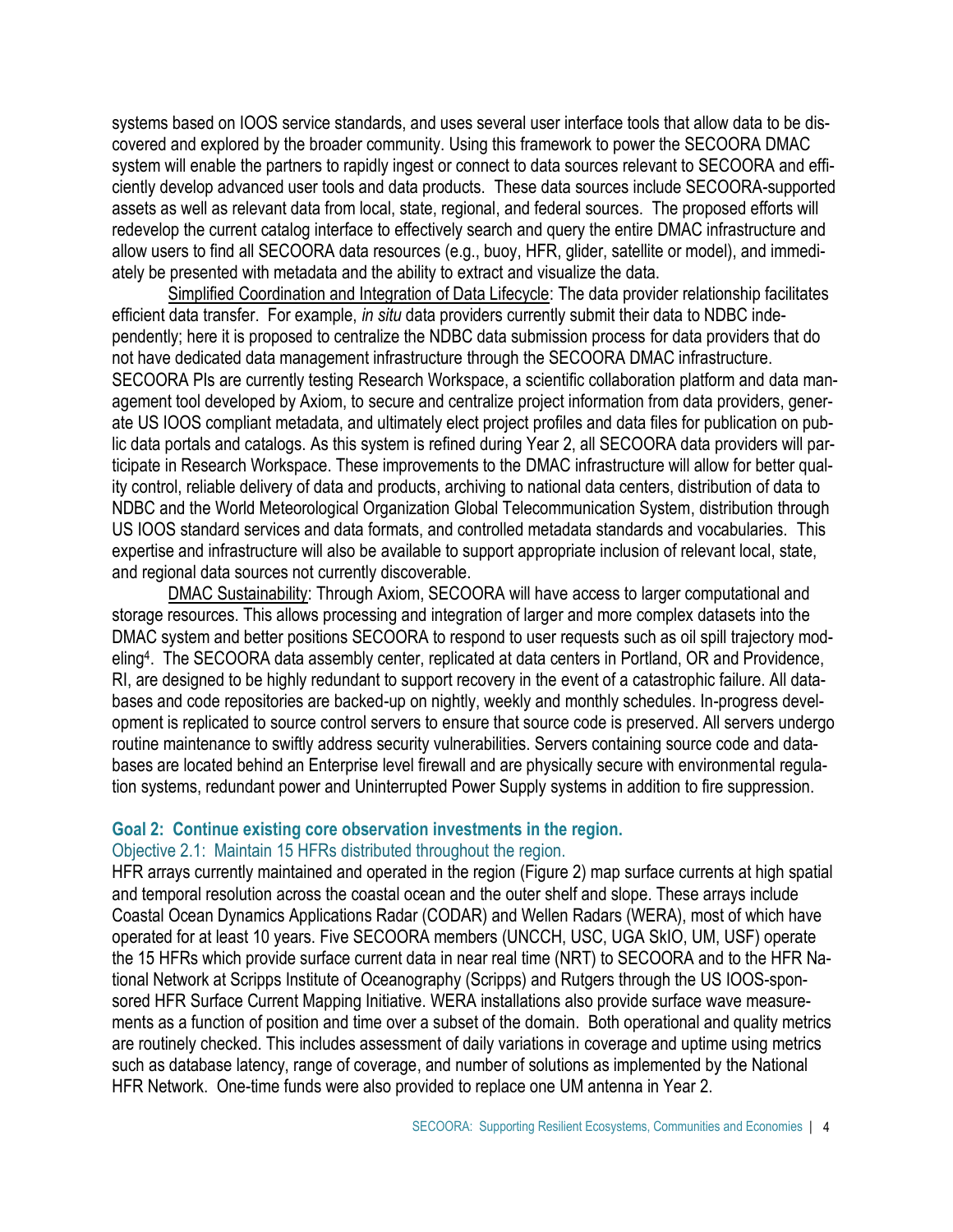systems based on IOOS service standards, and uses several user interface tools that allow data to be discovered and explored by the broader community. Using this framework to power the SECOORA DMAC system will enable the partners to rapidly ingest or connect to data sources relevant to SECOORA and efficiently develop advanced user tools and data products. These data sources include SECOORA-supported assets as well as relevant data from local, state, regional, and federal sources. The proposed efforts will redevelop the current catalog interface to effectively search and query the entire DMAC infrastructure and allow users to find all SECOORA data resources (e.g., buoy, HFR, glider, satellite or model), and immediately be presented with metadata and the ability to extract and visualize the data.

Simplified Coordination and Integration of Data Lifecycle: The data provider relationship facilitates efficient data transfer. For example, *in situ* data providers currently submit their data to NDBC independently; here it is proposed to centralize the NDBC data submission process for data providers that do not have dedicated data management infrastructure through the SECOORA DMAC infrastructure. SECOORA PIs are currently testing Research Workspace, a scientific collaboration platform and data management tool developed by Axiom, to secure and centralize project information from data providers, generate US IOOS compliant metadata, and ultimately elect project profiles and data files for publication on public data portals and catalogs. As this system is refined during Year 2, all SECOORA data providers will participate in Research Workspace. These improvements to the DMAC infrastructure will allow for better quality control, reliable delivery of data and products, archiving to national data centers, distribution of data to NDBC and the World Meteorological Organization Global Telecommunication System, distribution through US IOOS standard services and data formats, and controlled metadata standards and vocabularies. This expertise and infrastructure will also be available to support appropriate inclusion of relevant local, state, and regional data sources not currently discoverable.

DMAC Sustainability: Through Axiom, SECOORA will have access to larger computational and storage resources. This allows processing and integration of larger and more complex datasets into the DMAC system and better positions SECOORA to respond to user requests such as oil spill trajectory modeling<sup>4</sup> . The SECOORA data assembly center, replicated at data centers in Portland, OR and Providence, RI, are designed to be highly redundant to support recovery in the event of a catastrophic failure. All databases and code repositories are backed-up on nightly, weekly and monthly schedules. In-progress development is replicated to source control servers to ensure that source code is preserved. All servers undergo routine maintenance to swiftly address security vulnerabilities. Servers containing source code and databases are located behind an Enterprise level firewall and are physically secure with environmental regulation systems, redundant power and Uninterrupted Power Supply systems in addition to fire suppression.

## **Goal 2: Continue existing core observation investments in the region.** Objective 2.1: Maintain 15 HFRs distributed throughout the region.

HFR arrays currently maintained and operated in the region (Figure 2) map surface currents at high spatial and temporal resolution across the coastal ocean and the outer shelf and slope. These arrays include Coastal Ocean Dynamics Applications Radar (CODAR) and Wellen Radars (WERA), most of which have operated for at least 10 years. Five SECOORA members (UNCCH, USC, UGA SkIO, UM, USF) operate the 15 HFRs which provide surface current data in near real time (NRT) to SECOORA and to the HFR National Network at Scripps Institute of Oceanography (Scripps) and Rutgers through the US IOOS-sponsored HFR Surface Current Mapping Initiative. WERA installations also provide surface wave measurements as a function of position and time over a subset of the domain. Both operational and quality metrics are routinely checked. This includes assessment of daily variations in coverage and uptime using metrics such as database latency, range of coverage, and number of solutions as implemented by the National HFR Network. One-time funds were also provided to replace one UM antenna in Year 2.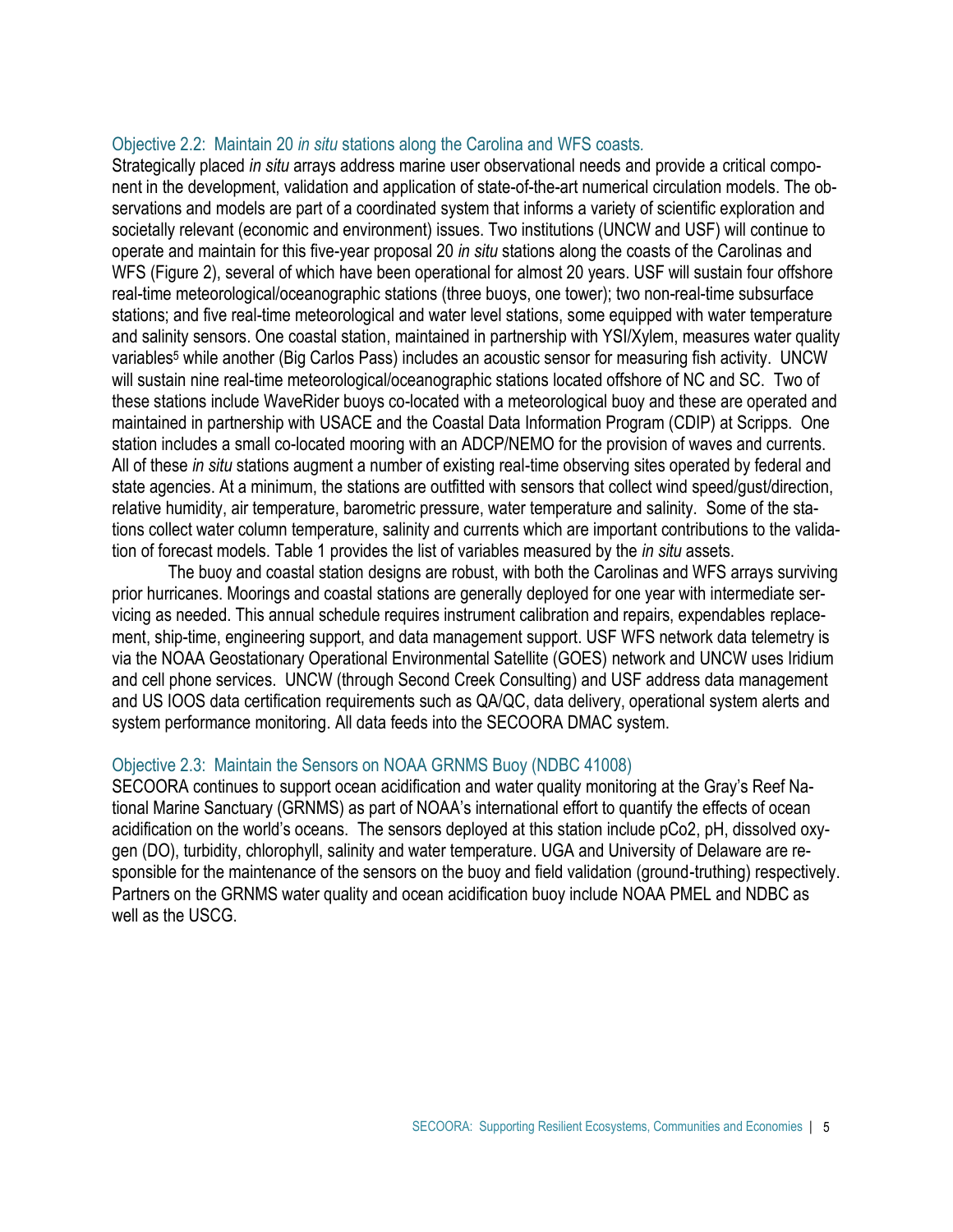## Objective 2.2: Maintain 20 *in situ* stations along the Carolina and WFS coasts*.*

Strategically placed *in situ* arrays address marine user observational needs and provide a critical component in the development, validation and application of state-of-the-art numerical circulation models. The observations and models are part of a coordinated system that informs a variety of scientific exploration and societally relevant (economic and environment) issues. Two institutions (UNCW and USF) will continue to operate and maintain for this five-year proposal 20 *in situ* stations along the coasts of the Carolinas and WFS (Figure 2), several of which have been operational for almost 20 years. USF will sustain four offshore real-time meteorological/oceanographic stations (three buoys, one tower); two non-real-time subsurface stations; and five real-time meteorological and water level stations, some equipped with water temperature and salinity sensors. One coastal station, maintained in partnership with YSI/Xylem, measures water quality variables<sup>5</sup> while another (Big Carlos Pass) includes an acoustic sensor for measuring fish activity. UNCW will sustain nine real-time meteorological/oceanographic stations located offshore of NC and SC. Two of these stations include WaveRider buoys co-located with a meteorological buoy and these are operated and maintained in partnership with USACE and the Coastal Data Information Program (CDIP) at Scripps. One station includes a small co-located mooring with an ADCP/NEMO for the provision of waves and currents. All of these *in situ* stations augment a number of existing real-time observing sites operated by federal and state agencies. At a minimum, the stations are outfitted with sensors that collect wind speed/gust/direction, relative humidity, air temperature, barometric pressure, water temperature and salinity. Some of the stations collect water column temperature, salinity and currents which are important contributions to the validation of forecast models. Table 1 provides the list of variables measured by the *in situ* assets.

The buoy and coastal station designs are robust, with both the Carolinas and WFS arrays surviving prior hurricanes. Moorings and coastal stations are generally deployed for one year with intermediate servicing as needed. This annual schedule requires instrument calibration and repairs, expendables replacement, ship-time, engineering support, and data management support. USF WFS network data telemetry is via the NOAA Geostationary Operational Environmental Satellite (GOES) network and UNCW uses Iridium and cell phone services. UNCW (through Second Creek Consulting) and USF address data management and US IOOS data certification requirements such as QA/QC, data delivery, operational system alerts and system performance monitoring. All data feeds into the SECOORA DMAC system.

#### Objective 2.3: Maintain the Sensors on NOAA GRNMS Buoy (NDBC 41008)

SECOORA continues to support ocean acidification and water quality monitoring at the Gray's Reef National Marine Sanctuary (GRNMS) as part of NOAA's international effort to quantify the effects of ocean acidification on the world's oceans. The sensors deployed at this station include pCo2, pH, dissolved oxygen (DO), turbidity, chlorophyll, salinity and water temperature. UGA and University of Delaware are responsible for the maintenance of the sensors on the buoy and field validation (ground-truthing) respectively. Partners on the GRNMS water quality and ocean acidification buoy include NOAA PMEL and NDBC as well as the USCG.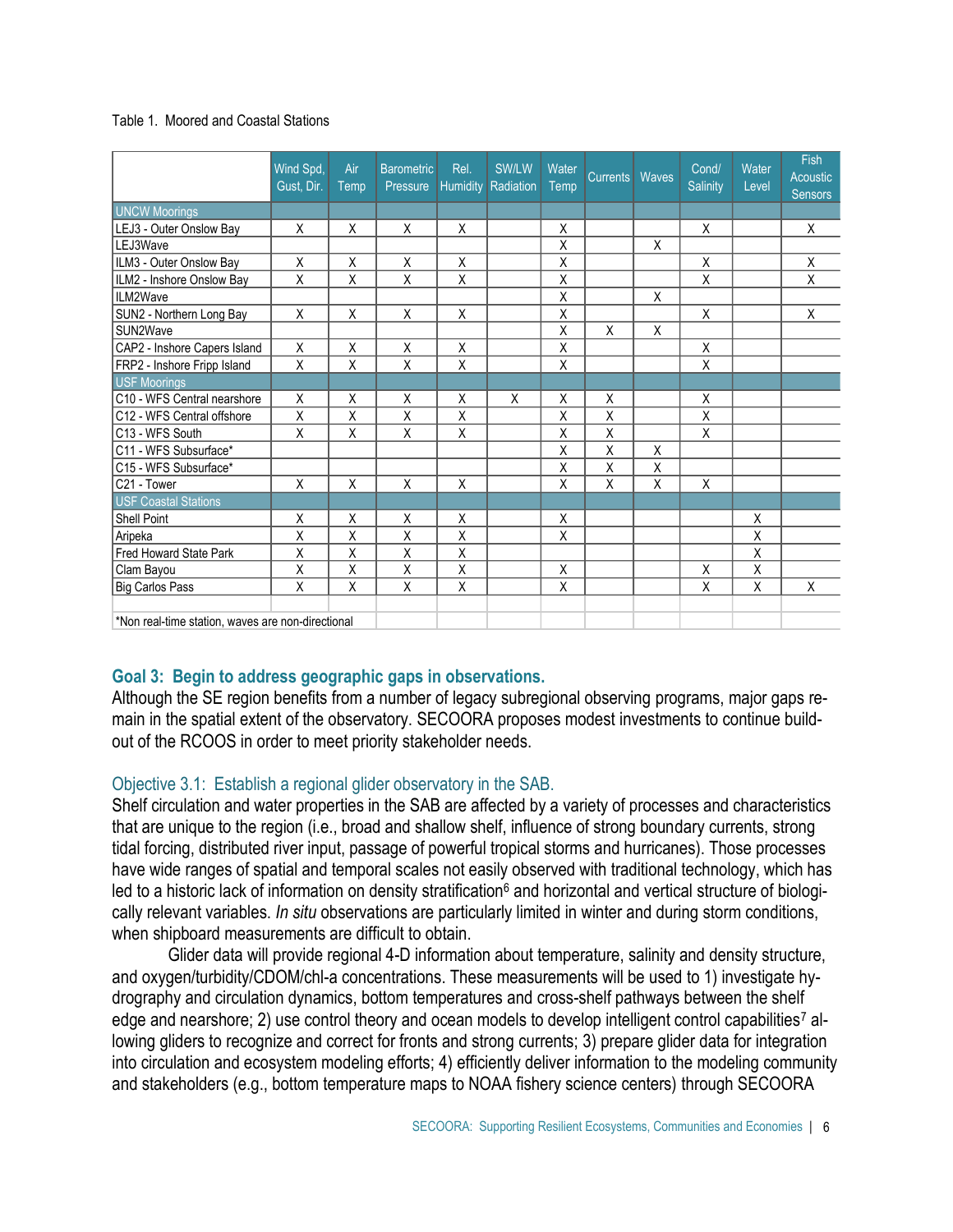#### Table 1. Moored and Coastal Stations

|                                                   | Wind Spd,<br>Gust. Dir. | Air<br>Temp | <b>Barometric</b><br>Pressure | Rel. | SW/LW<br>Humidity Radiation | Water<br>Temp | <b>Currents</b>         | Waves | Cond/<br><b>Salinity</b> | Water<br>Level | Fish<br><b>Acoustic</b><br><b>Sensors</b> |
|---------------------------------------------------|-------------------------|-------------|-------------------------------|------|-----------------------------|---------------|-------------------------|-------|--------------------------|----------------|-------------------------------------------|
| <b>UNCW Moorings</b>                              |                         |             |                               |      |                             |               |                         |       |                          |                |                                           |
| LEJ3 - Outer Onslow Bay                           | X                       | Χ           | X                             | X    |                             | X             |                         |       | X                        |                | X                                         |
| LEJ3Wave                                          |                         |             |                               |      |                             | X             |                         | X     |                          |                |                                           |
| ILM3 - Outer Onslow Bay                           | Χ                       | Χ           | X                             | X    |                             | Χ             |                         |       | X                        |                | X                                         |
| ILM2 - Inshore Onslow Bay                         | Χ                       | Χ           | Χ                             | Χ    |                             | Χ             |                         |       | Χ                        |                | Χ                                         |
| ILM2Wave                                          |                         |             |                               |      |                             | X             |                         | X     |                          |                |                                           |
| SUN2 - Northern Long Bay                          | Χ                       | Χ           | X                             | X    |                             | X             |                         |       | X                        |                | X                                         |
| SUN2Wave                                          |                         |             |                               |      |                             | X             | Χ                       | Χ     |                          |                |                                           |
| CAP2 - Inshore Capers Island                      | X                       | X           | X                             | Χ    |                             | Χ             |                         |       | Χ                        |                |                                           |
| FRP2 - Inshore Fripp Island                       | Χ                       | Χ           | Χ                             | Χ    |                             | Χ             |                         |       | Χ                        |                |                                           |
| <b>USF Moorings</b>                               |                         |             |                               |      |                             |               |                         |       |                          |                |                                           |
| IC10 - WFS Central nearshore                      | X                       | X           | X                             | X    | X                           | X             | X                       |       | X                        |                |                                           |
| C12 - WFS Central offshore                        | Χ                       | Χ           | Χ                             | Χ    |                             | X             | X                       |       | Χ                        |                |                                           |
| C13 - WFS South                                   | Χ                       | Χ           | Χ                             | Χ    |                             | X             | $\overline{\mathsf{x}}$ |       | Χ                        |                |                                           |
| C11 - WFS Subsurface*                             |                         |             |                               |      |                             | X             | Χ                       | X     |                          |                |                                           |
| C15 - WFS Subsurface*                             |                         |             |                               |      |                             | X             | Χ                       | Χ     |                          |                |                                           |
| C21 - Tower                                       | Χ                       | Χ           | X                             | X    |                             | Χ             | X                       | Χ     | Χ                        |                |                                           |
| <b>USF Coastal Stations</b>                       |                         |             |                               |      |                             |               |                         |       |                          |                |                                           |
| <b>Shell Point</b>                                | X                       | X           | X                             | X    |                             | X             |                         |       |                          | X              |                                           |
| Aripeka                                           | X                       | X           | X                             | X    |                             | X             |                         |       |                          | Χ              |                                           |
| <b>Fred Howard State Park</b>                     | X                       | X           | X                             | Χ    |                             |               |                         |       |                          | Χ              |                                           |
| Clam Bayou                                        | Χ                       | Χ           | Χ                             | Χ    |                             | X             |                         |       | Χ                        | Χ              |                                           |
| <b>Big Carlos Pass</b>                            | X                       | X           | X                             | Χ    |                             | X             |                         |       | X                        | X              | Χ                                         |
| *Non real-time station, waves are non-directional |                         |             |                               |      |                             |               |                         |       |                          |                |                                           |

# **Goal 3: Begin to address geographic gaps in observations.**

Although the SE region benefits from a number of legacy subregional observing programs, major gaps remain in the spatial extent of the observatory. SECOORA proposes modest investments to continue buildout of the RCOOS in order to meet priority stakeholder needs.

# Objective 3.1: Establish a regional glider observatory in the SAB.

Shelf circulation and water properties in the SAB are affected by a variety of processes and characteristics that are unique to the region (i.e., broad and shallow shelf, influence of strong boundary currents, strong tidal forcing, distributed river input, passage of powerful tropical storms and hurricanes). Those processes have wide ranges of spatial and temporal scales not easily observed with traditional technology, which has led to a historic lack of information on density stratification<sup>6</sup> and horizontal and vertical structure of biologically relevant variables. *In situ* observations are particularly limited in winter and during storm conditions, when shipboard measurements are difficult to obtain.

Glider data will provide regional 4-D information about temperature, salinity and density structure, and oxygen/turbidity/CDOM/chl-a concentrations. These measurements will be used to 1) investigate hydrography and circulation dynamics, bottom temperatures and cross-shelf pathways between the shelf edge and nearshore; 2) use control theory and ocean models to develop intelligent control capabilities<sup>7</sup> allowing gliders to recognize and correct for fronts and strong currents; 3) prepare glider data for integration into circulation and ecosystem modeling efforts; 4) efficiently deliver information to the modeling community and stakeholders (e.g., bottom temperature maps to NOAA fishery science centers) through SECOORA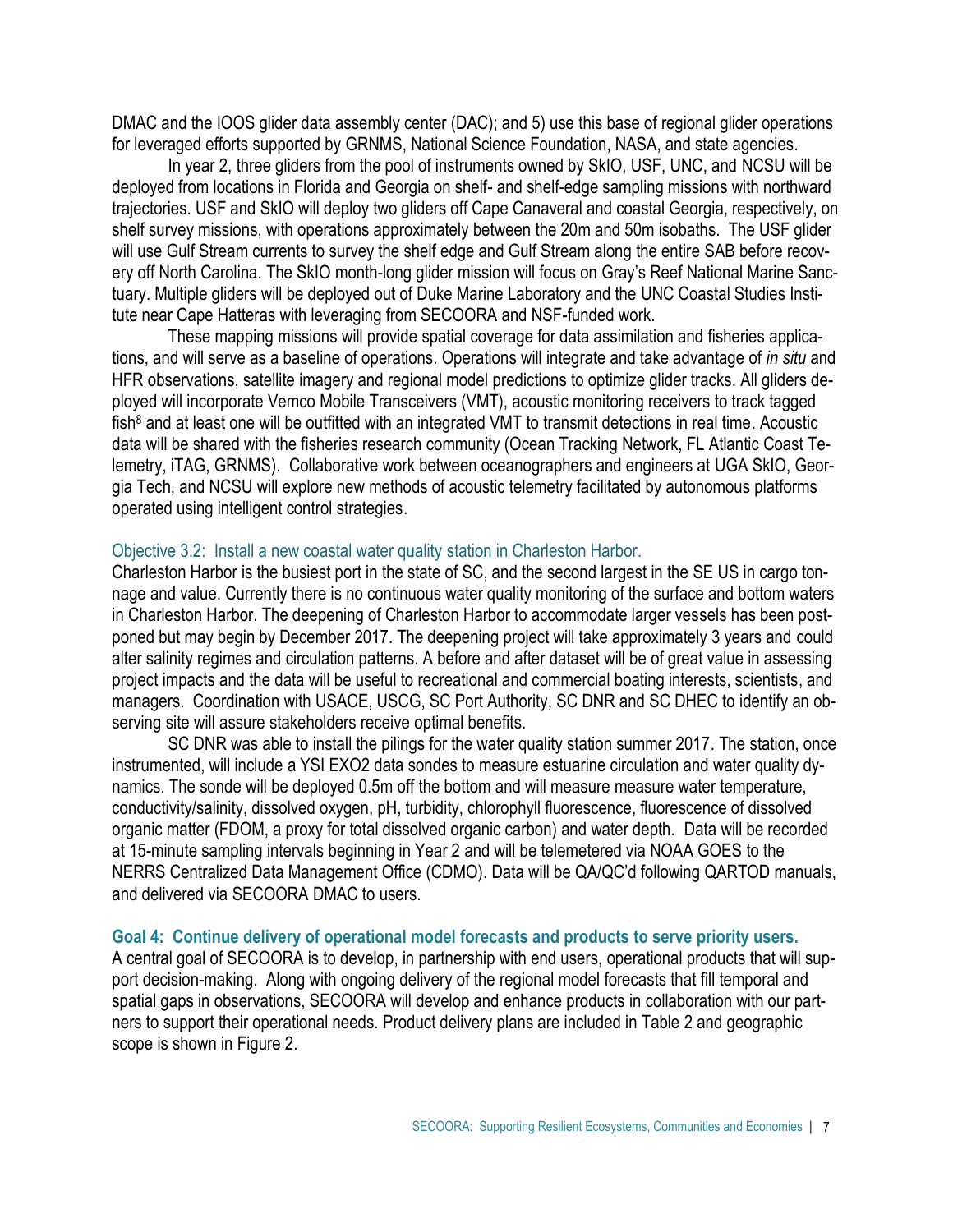DMAC and the IOOS glider data assembly center (DAC); and 5) use this base of regional glider operations for leveraged efforts supported by GRNMS, National Science Foundation, NASA, and state agencies.

In year 2, three gliders from the pool of instruments owned by SkIO, USF, UNC, and NCSU will be deployed from locations in Florida and Georgia on shelf- and shelf-edge sampling missions with northward trajectories. USF and SkIO will deploy two gliders off Cape Canaveral and coastal Georgia, respectively, on shelf survey missions, with operations approximately between the 20m and 50m isobaths. The USF glider will use Gulf Stream currents to survey the shelf edge and Gulf Stream along the entire SAB before recovery off North Carolina. The SkIO month-long glider mission will focus on Gray's Reef National Marine Sanctuary. Multiple gliders will be deployed out of Duke Marine Laboratory and the UNC Coastal Studies Institute near Cape Hatteras with leveraging from SECOORA and NSF-funded work.

These mapping missions will provide spatial coverage for data assimilation and fisheries applications, and will serve as a baseline of operations. Operations will integrate and take advantage of *in situ* and HFR observations, satellite imagery and regional model predictions to optimize glider tracks. All gliders deployed will incorporate Vemco Mobile Transceivers (VMT), acoustic monitoring receivers to track tagged  $fish<sup>8</sup>$  and at least one will be outfitted with an integrated VMT to transmit detections in real time. Acoustic data will be shared with the fisheries research community (Ocean Tracking Network, FL Atlantic Coast Telemetry, iTAG, GRNMS). Collaborative work between oceanographers and engineers at UGA SkIO, Georgia Tech, and NCSU will explore new methods of acoustic telemetry facilitated by autonomous platforms operated using intelligent control strategies.

#### Objective 3.2: Install a new coastal water quality station in Charleston Harbor.

Charleston Harbor is the busiest port in the state of SC, and the second largest in the SE US in cargo tonnage and value. Currently there is no continuous water quality monitoring of the surface and bottom waters in Charleston Harbor. The deepening of Charleston Harbor to accommodate larger vessels has been postponed but may begin by December 2017. The deepening project will take approximately 3 years and could alter salinity regimes and circulation patterns. A before and after dataset will be of great value in assessing project impacts and the data will be useful to recreational and commercial boating interests, scientists, and managers. Coordination with USACE, USCG, SC Port Authority, SC DNR and SC DHEC to identify an observing site will assure stakeholders receive optimal benefits.

SC DNR was able to install the pilings for the water quality station summer 2017. The station, once instrumented, will include a YSI EXO2 data sondes to measure estuarine circulation and water quality dynamics. The sonde will be deployed 0.5m off the bottom and will measure measure water temperature, conductivity/salinity, dissolved oxygen, pH, turbidity, chlorophyll fluorescence, fluorescence of dissolved organic matter (FDOM, a proxy for total dissolved organic carbon) and water depth. Data will be recorded at 15-minute sampling intervals beginning in Year 2 and will be telemetered via NOAA GOES to the NERRS Centralized Data Management Office (CDMO). Data will be QA/QC'd following QARTOD manuals, and delivered via SECOORA DMAC to users.

#### **Goal 4: Continue delivery of operational model forecasts and products to serve priority users.**

A central goal of SECOORA is to develop, in partnership with end users, operational products that will support decision-making. Along with ongoing delivery of the regional model forecasts that fill temporal and spatial gaps in observations, SECOORA will develop and enhance products in collaboration with our partners to support their operational needs. Product delivery plans are included in Table 2 and geographic scope is shown in Figure 2.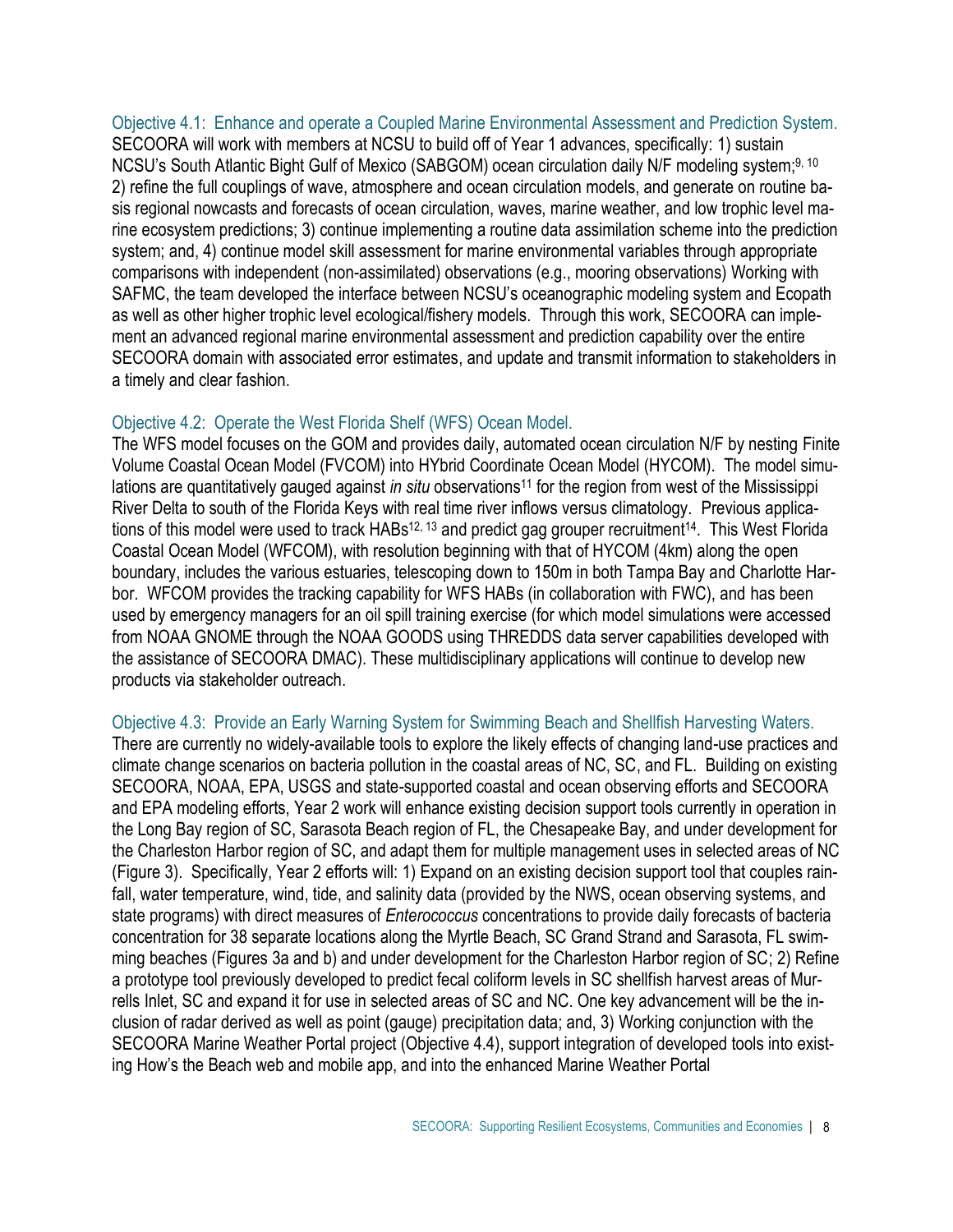Objective 4.1: Enhance and operate a Coupled Marine Environmental Assessment and Prediction System. SECOORA will work with members at NCSU to build off of Year 1 advances, specifically: 1) sustain NCSU's South Atlantic Bight Gulf of Mexico (SABGOM) ocean circulation daily N/F modeling system;<sup>9, 10</sup> 2) refine the full couplings of wave, atmosphere and ocean circulation models, and generate on routine basis regional nowcasts and forecasts of ocean circulation, waves, marine weather, and low trophic level marine ecosystem predictions; 3) continue implementing a routine data assimilation scheme into the prediction system; and, 4) continue model skill assessment for marine environmental variables through appropriate comparisons with independent (non-assimilated) observations (e.g., mooring observations) Working with SAFMC, the team developed the interface between NCSU's oceanographic modeling system and Ecopath as well as other higher trophic level ecological/fishery models. Through this work, SECOORA can implement an advanced regional marine environmental assessment and prediction capability over the entire SECOORA domain with associated error estimates, and update and transmit information to stakeholders in a timely and clear fashion.

# Objective 4.2: Operate the West Florida Shelf (WFS) Ocean Model.

The WFS model focuses on the GOM and provides daily, automated ocean circulation N/F by nesting Finite Volume Coastal Ocean Model (FVCOM) into HYbrid Coordinate Ocean Model (HYCOM). The model simulations are quantitatively gauged against *in situ* observations<sup>11</sup> for the region from west of the Mississippi River Delta to south of the Florida Keys with real time river inflows versus climatology. Previous applications of this model were used to track HABs<sup>12, 13</sup> and predict gag grouper recruitment<sup>14</sup>. This West Florida Coastal Ocean Model (WFCOM), with resolution beginning with that of HYCOM (4km) along the open boundary, includes the various estuaries, telescoping down to 150m in both Tampa Bay and Charlotte Harbor. WFCOM provides the tracking capability for WFS HABs (in collaboration with FWC), and has been used by emergency managers for an oil spill training exercise (for which model simulations were accessed from NOAA GNOME through the NOAA GOODS using THREDDS data server capabilities developed with the assistance of SECOORA DMAC). These multidisciplinary applications will continue to develop new products via stakeholder outreach.

# Objective 4.3: Provide an Early Warning System for Swimming Beach and Shellfish Harvesting Waters.

There are currently no widely-available tools to explore the likely effects of changing land-use practices and climate change scenarios on bacteria pollution in the coastal areas of NC, SC, and FL. Building on existing SECOORA, NOAA, EPA, USGS and state-supported coastal and ocean observing efforts and SECOORA and EPA modeling efforts, Year 2 work will enhance existing decision support tools currently in operation in the Long Bay region of SC, Sarasota Beach region of FL, the Chesapeake Bay, and under development for the Charleston Harbor region of SC, and adapt them for multiple management uses in selected areas of NC (Figure 3). Specifically, Year 2 efforts will: 1) Expand on an existing decision support tool that couples rainfall, water temperature, wind, tide, and salinity data (provided by the NWS, ocean observing systems, and state programs) with direct measures of *Enterococcus* concentrations to provide daily forecasts of bacteria concentration for 38 separate locations along the Myrtle Beach, SC Grand Strand and Sarasota, FL swimming beaches (Figures 3a and b) and under development for the Charleston Harbor region of SC; 2) Refine a prototype tool previously developed to predict fecal coliform levels in SC shellfish harvest areas of Murrells Inlet, SC and expand it for use in selected areas of SC and NC. One key advancement will be the inclusion of radar derived as well as point (gauge) precipitation data; and, 3) Working conjunction with the SECOORA Marine Weather Portal project (Objective 4.4), support integration of developed tools into existing How's the Beach web and mobile app, and into the enhanced Marine Weather Portal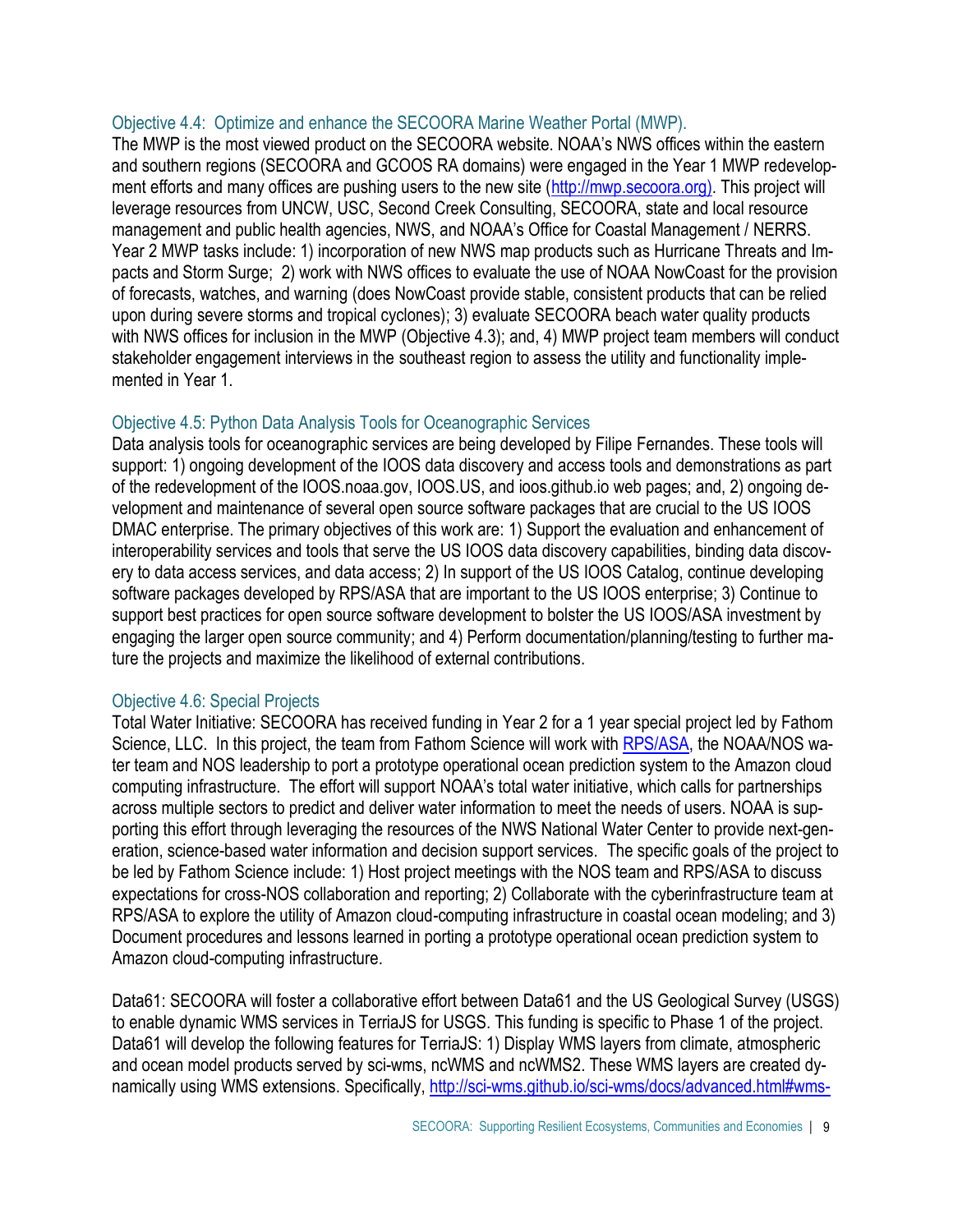# Objective 4.4: Optimize and enhance the SECOORA Marine Weather Portal (MWP).

The MWP is the most viewed product on the SECOORA website. NOAA's NWS offices within the eastern and southern regions (SECOORA and GCOOS RA domains) were engaged in the Year 1 MWP redevelop-ment efforts and many offices are pushing users to the new site [\(http://mwp.secoora.org\).](http://mwp.secoora.org)/) This project will leverage resources from UNCW, USC, Second Creek Consulting, SECOORA, state and local resource management and public health agencies, NWS, and NOAA's Office for Coastal Management / NERRS. Year 2 MWP tasks include: 1) incorporation of new NWS map products such as Hurricane Threats and Impacts and Storm Surge; 2) work with NWS offices to evaluate the use of NOAA NowCoast for the provision of forecasts, watches, and warning (does NowCoast provide stable, consistent products that can be relied upon during severe storms and tropical cyclones); 3) evaluate SECOORA beach water quality products with NWS offices for inclusion in the MWP (Objective 4.3); and, 4) MWP project team members will conduct stakeholder engagement interviews in the southeast region to assess the utility and functionality implemented in Year 1.

# Objective 4.5: Python Data Analysis Tools for Oceanographic Services

Data analysis tools for oceanographic services are being developed by Filipe Fernandes. These tools will support: 1) ongoing development of the IOOS data discovery and access tools and demonstrations as part of the redevelopment of the IOOS.noaa.gov, IOOS.US, and ioos.github.io web pages; and, 2) ongoing development and maintenance of several open source software packages that are crucial to the US IOOS DMAC enterprise. The primary objectives of this work are: 1) Support the evaluation and enhancement of interoperability services and tools that serve the US IOOS data discovery capabilities, binding data discovery to data access services, and data access; 2) In support of the US IOOS Catalog, continue developing software packages developed by RPS/ASA that are important to the US IOOS enterprise; 3) Continue to support best practices for open source software development to bolster the US IOOS/ASA investment by engaging the larger open source community; and 4) Perform documentation/planning/testing to further mature the projects and maximize the likelihood of external contributions.

# Objective 4.6: Special Projects

Total Water Initiative: SECOORA has received funding in Year 2 for a 1 year special project led by Fathom Science, LLC. In this project, the team from Fathom Science will work with [RPS/ASA,](http://www.asascience.com/) the NOAA/NOS water team and NOS leadership to port a prototype operational ocean prediction system to the Amazon cloud computing infrastructure. The effort will support NOAA's total water initiative, which calls for partnerships across multiple sectors to predict and deliver water information to meet the needs of users. NOAA is supporting this effort through leveraging the resources of the NWS National Water Center to provide next-generation, science-based water information and decision support services. The specific goals of the project to be led by Fathom Science include: 1) Host project meetings with the NOS team and RPS/ASA to discuss expectations for cross-NOS collaboration and reporting; 2) Collaborate with the cyberinfrastructure team at RPS/ASA to explore the utility of Amazon cloud-computing infrastructure in coastal ocean modeling; and 3) Document procedures and lessons learned in porting a prototype operational ocean prediction system to Amazon cloud-computing infrastructure.

Data61: SECOORA will foster a collaborative effort between Data61 and the US Geological Survey (USGS) to enable dynamic WMS services in TerriaJS for USGS. This funding is specific to Phase 1 of the project. Data61 will develop the following features for TerriaJS: 1) Display WMS layers from climate, atmospheric and ocean model products served by sci-wms, ncWMS and ncWMS2. These WMS layers are created dynamically using WMS extensions. Specifically, [http://sci-wms.github.io/sci-wms/docs/advanced.html#wms-](http://sci-wms.github.io/sci-wms/docs/advanced.html#wms-extensions)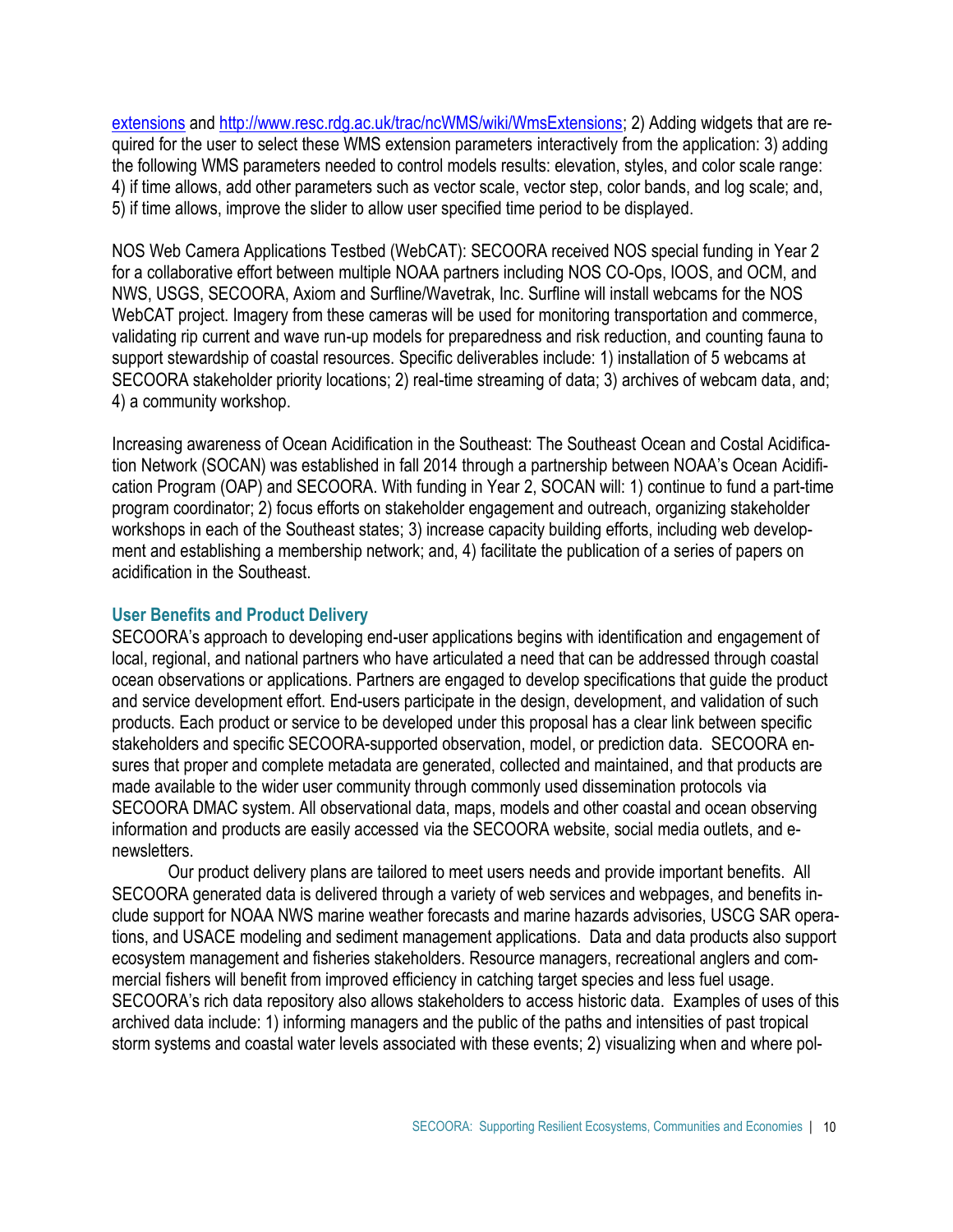[extensions](http://sci-wms.github.io/sci-wms/docs/advanced.html#wms-extensions) and [http://www.resc.rdg.ac.uk/trac/ncWMS/wiki/WmsExtensions;](http://www.resc.rdg.ac.uk/trac/ncWMS/wiki/WmsExtensions) 2) Adding widgets that are required for the user to select these WMS extension parameters interactively from the application: 3) adding the following WMS parameters needed to control models results: elevation, styles, and color scale range: 4) if time allows, add other parameters such as vector scale, vector step, color bands, and log scale; and, 5) if time allows, improve the slider to allow user specified time period to be displayed.

NOS Web Camera Applications Testbed (WebCAT): SECOORA received NOS special funding in Year 2 for a collaborative effort between multiple NOAA partners including NOS CO-Ops, IOOS, and OCM, and NWS, USGS, SECOORA, Axiom and Surfline/Wavetrak, Inc. Surfline will install webcams for the NOS WebCAT project. Imagery from these cameras will be used for monitoring transportation and commerce, validating rip current and wave run-up models for preparedness and risk reduction, and counting fauna to support stewardship of coastal resources. Specific deliverables include: 1) installation of 5 webcams at SECOORA stakeholder priority locations; 2) real-time streaming of data; 3) archives of webcam data, and; 4) a community workshop.

Increasing awareness of Ocean Acidification in the Southeast: The Southeast Ocean and Costal Acidification Network (SOCAN) was established in fall 2014 through a partnership between NOAA's Ocean Acidification Program (OAP) and SECOORA. With funding in Year 2, SOCAN will: 1) continue to fund a part-time program coordinator; 2) focus efforts on stakeholder engagement and outreach, organizing stakeholder workshops in each of the Southeast states; 3) increase capacity building efforts, including web development and establishing a membership network; and, 4) facilitate the publication of a series of papers on acidification in the Southeast.

# **User Benefits and Product Delivery**

SECOORA's approach to developing end-user applications begins with identification and engagement of local, regional, and national partners who have articulated a need that can be addressed through coastal ocean observations or applications. Partners are engaged to develop specifications that guide the product and service development effort. End-users participate in the design, development, and validation of such products. Each product or service to be developed under this proposal has a clear link between specific stakeholders and specific SECOORA-supported observation, model, or prediction data. SECOORA ensures that proper and complete metadata are generated, collected and maintained, and that products are made available to the wider user community through commonly used dissemination protocols via SECOORA DMAC system. All observational data, maps, models and other coastal and ocean observing information and products are easily accessed via the SECOORA website, social media outlets, and enewsletters.

Our product delivery plans are tailored to meet users needs and provide important benefits. All SECOORA generated data is delivered through a variety of web services and webpages, and benefits include support for NOAA NWS marine weather forecasts and marine hazards advisories, USCG SAR operations, and USACE modeling and sediment management applications. Data and data products also support ecosystem management and fisheries stakeholders. Resource managers, recreational anglers and commercial fishers will benefit from improved efficiency in catching target species and less fuel usage. SECOORA's rich data repository also allows stakeholders to access historic data. Examples of uses of this archived data include: 1) informing managers and the public of the paths and intensities of past tropical storm systems and coastal water levels associated with these events; 2) visualizing when and where pol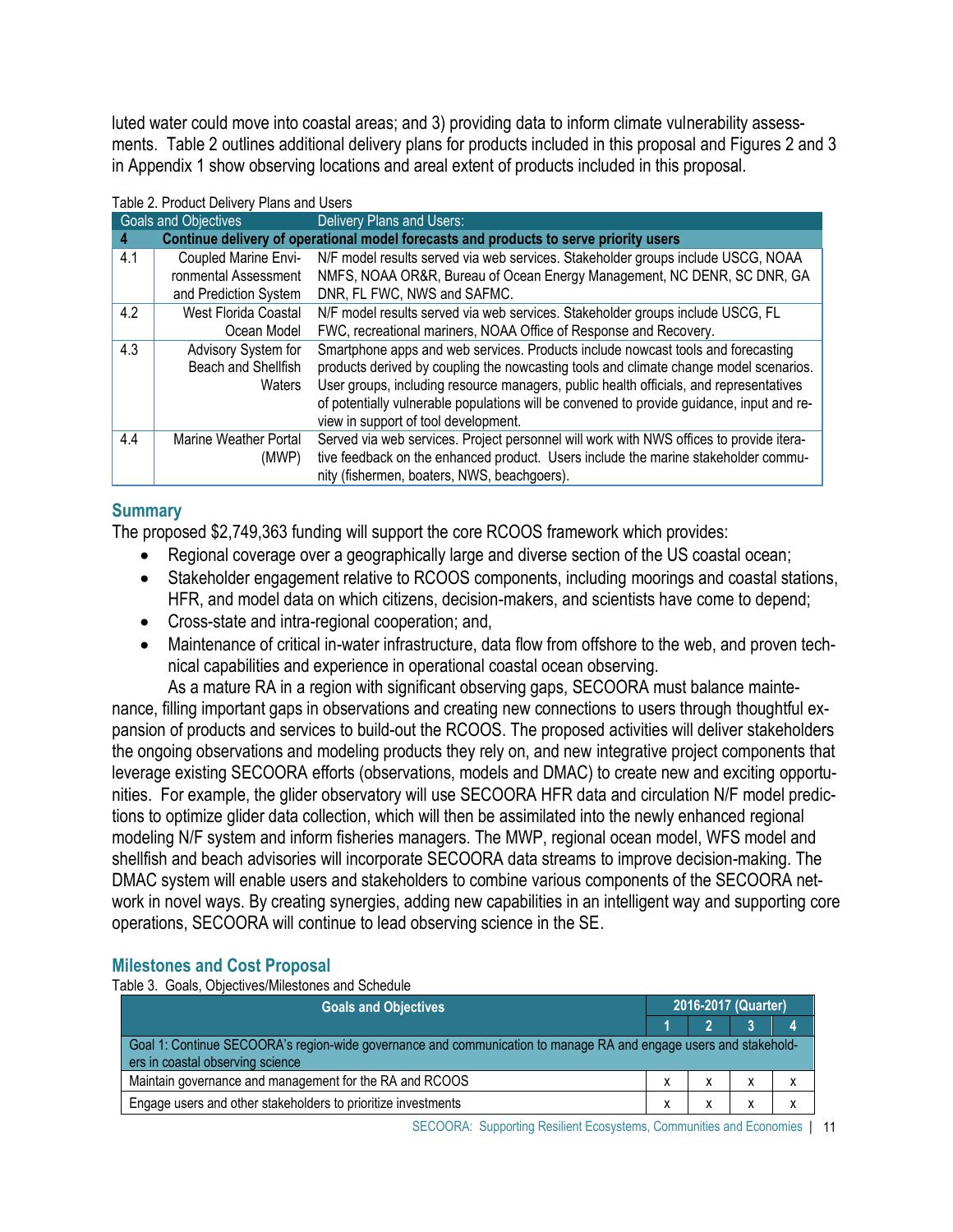luted water could move into coastal areas; and 3) providing data to inform climate vulnerability assessments. Table 2 outlines additional delivery plans for products included in this proposal and Figures 2 and 3 in Appendix 1 show observing locations and areal extent of products included in this proposal.

|                                                                                            | Goals and Objectives        | Delivery Plans and Users:                                                                 |  |  |  |
|--------------------------------------------------------------------------------------------|-----------------------------|-------------------------------------------------------------------------------------------|--|--|--|
| Continue delivery of operational model forecasts and products to serve priority users<br>4 |                             |                                                                                           |  |  |  |
| 4.1                                                                                        | Coupled Marine Envi-        | N/F model results served via web services. Stakeholder groups include USCG, NOAA          |  |  |  |
|                                                                                            | ronmental Assessment        | NMFS, NOAA OR&R, Bureau of Ocean Energy Management, NC DENR, SC DNR, GA                   |  |  |  |
|                                                                                            | and Prediction System       | DNR, FL FWC, NWS and SAFMC.                                                               |  |  |  |
| 4.2                                                                                        | <b>West Florida Coastal</b> | N/F model results served via web services. Stakeholder groups include USCG, FL            |  |  |  |
|                                                                                            | Ocean Model                 | FWC, recreational mariners, NOAA Office of Response and Recovery.                         |  |  |  |
| 4.3                                                                                        | Advisory System for         | Smartphone apps and web services. Products include nowcast tools and forecasting          |  |  |  |
|                                                                                            | Beach and Shellfish         | products derived by coupling the nowcasting tools and climate change model scenarios.     |  |  |  |
|                                                                                            | Waters                      | User groups, including resource managers, public health officials, and representatives    |  |  |  |
|                                                                                            |                             | of potentially vulnerable populations will be convened to provide guidance, input and re- |  |  |  |
|                                                                                            |                             | view in support of tool development.                                                      |  |  |  |
| 4.4                                                                                        | Marine Weather Portal       | Served via web services. Project personnel will work with NWS offices to provide itera-   |  |  |  |
|                                                                                            | (MWP)                       | tive feedback on the enhanced product. Users include the marine stakeholder commu-        |  |  |  |
|                                                                                            |                             | nity (fishermen, boaters, NWS, beachgoers).                                               |  |  |  |

#### Table 2. Product Delivery Plans and Users

## **Summary**

The proposed \$2,749,363 funding will support the core RCOOS framework which provides:

- Regional coverage over a geographically large and diverse section of the US coastal ocean;
- Stakeholder engagement relative to RCOOS components, including moorings and coastal stations, HFR, and model data on which citizens, decision-makers, and scientists have come to depend;
- Cross-state and intra-regional cooperation; and,
- Maintenance of critical in-water infrastructure, data flow from offshore to the web, and proven technical capabilities and experience in operational coastal ocean observing.

As a mature RA in a region with significant observing gaps, SECOORA must balance maintenance, filling important gaps in observations and creating new connections to users through thoughtful expansion of products and services to build-out the RCOOS. The proposed activities will deliver stakeholders the ongoing observations and modeling products they rely on, and new integrative project components that leverage existing SECOORA efforts (observations, models and DMAC) to create new and exciting opportunities. For example, the glider observatory will use SECOORA HFR data and circulation N/F model predictions to optimize glider data collection, which will then be assimilated into the newly enhanced regional modeling N/F system and inform fisheries managers. The MWP, regional ocean model, WFS model and shellfish and beach advisories will incorporate SECOORA data streams to improve decision-making. The DMAC system will enable users and stakeholders to combine various components of the SECOORA network in novel ways. By creating synergies, adding new capabilities in an intelligent way and supporting core operations, SECOORA will continue to lead observing science in the SE.

# **Milestones and Cost Proposal**

Table 3. Goals, Objectives/Milestones and Schedule

| <b>Goals and Objectives</b>                                                                                                                          |  |  | 2016-2017 (Quarter) |  |  |  |  |
|------------------------------------------------------------------------------------------------------------------------------------------------------|--|--|---------------------|--|--|--|--|
|                                                                                                                                                      |  |  |                     |  |  |  |  |
| Goal 1: Continue SECOORA's region-wide governance and communication to manage RA and engage users and stakehold-<br>ers in coastal observing science |  |  |                     |  |  |  |  |
| Maintain governance and management for the RA and RCOOS                                                                                              |  |  |                     |  |  |  |  |
| Engage users and other stakeholders to prioritize investments                                                                                        |  |  |                     |  |  |  |  |

SECOORA: Supporting Resilient Ecosystems, Communities and Economies | 11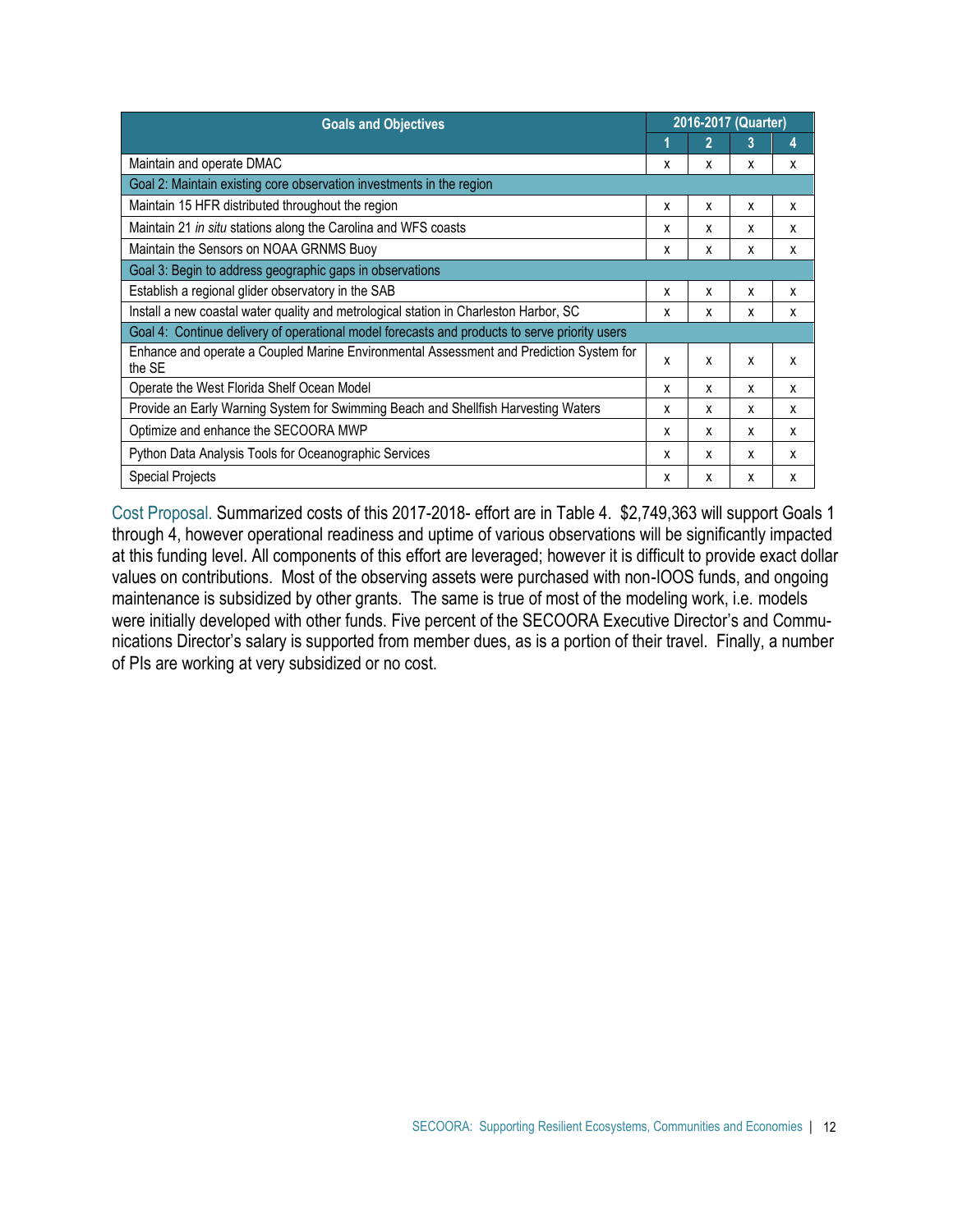| <b>Goals and Objectives</b>                                                                       |   |              | 2016-2017 (Quarter) |   |  |  |  |
|---------------------------------------------------------------------------------------------------|---|--------------|---------------------|---|--|--|--|
|                                                                                                   |   | $\mathbf{2}$ | 3                   | 4 |  |  |  |
| Maintain and operate DMAC                                                                         | x | x            | x                   | X |  |  |  |
| Goal 2: Maintain existing core observation investments in the region                              |   |              |                     |   |  |  |  |
| Maintain 15 HFR distributed throughout the region                                                 | X | X            | X                   | X |  |  |  |
| Maintain 21 in situ stations along the Carolina and WFS coasts                                    | x | X            | x                   | x |  |  |  |
| Maintain the Sensors on NOAA GRNMS Buoy                                                           | X | х            | x                   | X |  |  |  |
| Goal 3: Begin to address geographic gaps in observations                                          |   |              |                     |   |  |  |  |
| Establish a regional glider observatory in the SAB                                                | x | x            | X                   | Х |  |  |  |
| Install a new coastal water quality and metrological station in Charleston Harbor, SC             | X | x            | x                   | X |  |  |  |
| Goal 4: Continue delivery of operational model forecasts and products to serve priority users     |   |              |                     |   |  |  |  |
| Enhance and operate a Coupled Marine Environmental Assessment and Prediction System for<br>the SE | x | X            | x                   | X |  |  |  |
| Operate the West Florida Shelf Ocean Model                                                        | X | X            | X                   | X |  |  |  |
| Provide an Early Warning System for Swimming Beach and Shellfish Harvesting Waters                | X | X            | x                   | X |  |  |  |
| Optimize and enhance the SECOORA MWP                                                              |   |              | X                   | X |  |  |  |
| Python Data Analysis Tools for Oceanographic Services                                             | X | X            | X                   | X |  |  |  |
| Special Projects                                                                                  | x | X            | x                   | X |  |  |  |

Cost Proposal. Summarized costs of this 2017-2018- effort are in Table 4. \$2,749,363 will support Goals 1 through 4, however operational readiness and uptime of various observations will be significantly impacted at this funding level. All components of this effort are leveraged; however it is difficult to provide exact dollar values on contributions. Most of the observing assets were purchased with non-IOOS funds, and ongoing maintenance is subsidized by other grants. The same is true of most of the modeling work, i.e. models were initially developed with other funds. Five percent of the SECOORA Executive Director's and Communications Director's salary is supported from member dues, as is a portion of their travel. Finally, a number of PIs are working at very subsidized or no cost.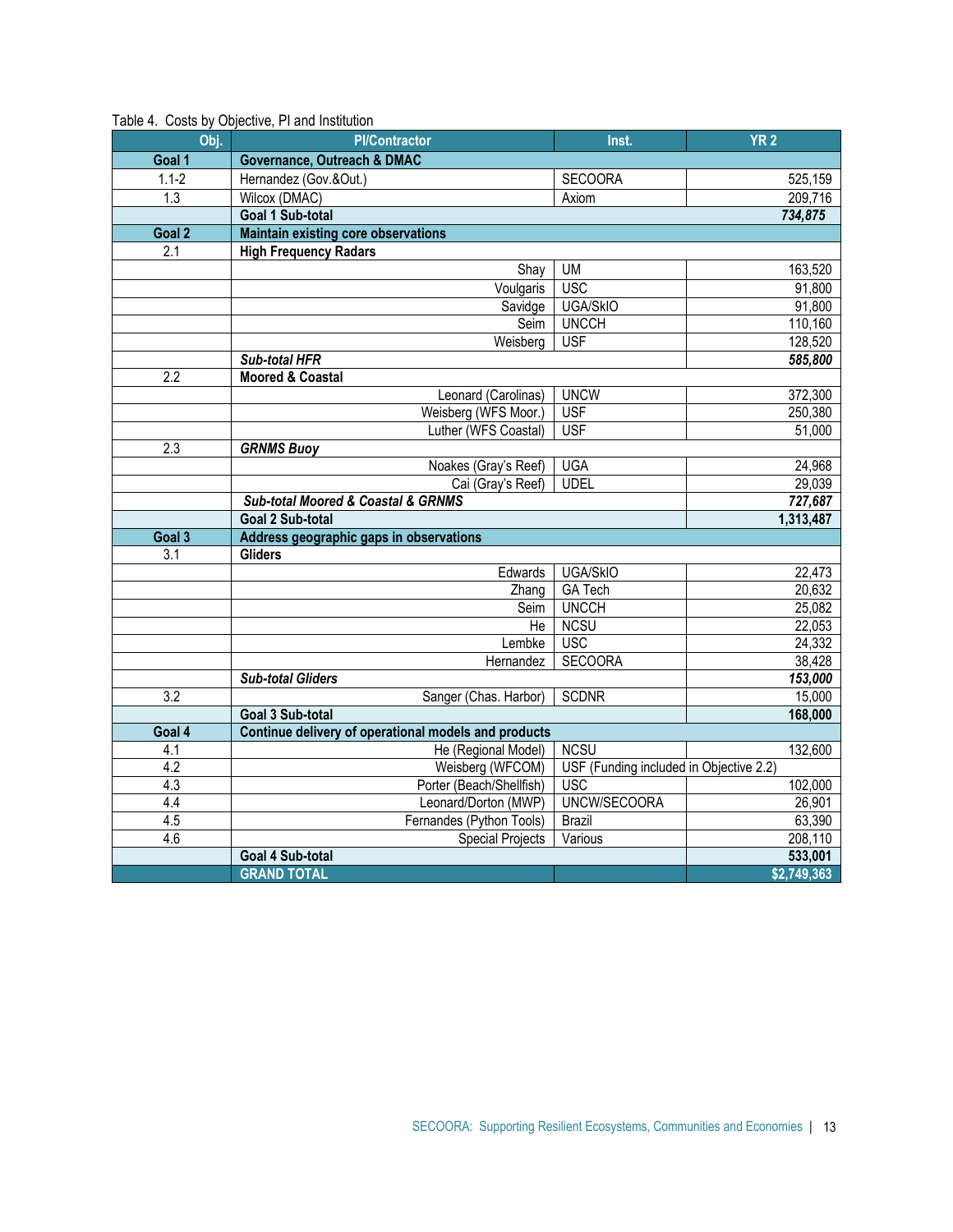| Obj.             | <b>PI/Contractor</b>                                 | Inst.                                   | YR <sub>2</sub> |
|------------------|------------------------------------------------------|-----------------------------------------|-----------------|
| Goal 1           | <b>Governance, Outreach &amp; DMAC</b>               |                                         |                 |
| $1.1 - 2$        | Hernandez (Gov.&Out.)                                | <b>SECOORA</b>                          | 525,159         |
| $\overline{1.3}$ | Wilcox (DMAC)                                        | Axiom                                   | 209,716         |
|                  | Goal 1 Sub-total                                     |                                         | 734,875         |
| Goal 2           | <b>Maintain existing core observations</b>           |                                         |                 |
| $\overline{2.1}$ | <b>High Frequency Radars</b>                         |                                         |                 |
|                  | Shay                                                 | <b>UM</b>                               | 163,520         |
|                  | Voulgaris                                            | <b>USC</b>                              | 91,800          |
|                  | Savidge                                              | <b>UGA/SkIO</b>                         | 91,800          |
|                  | Seim                                                 | <b>UNCCH</b>                            | 110,160         |
|                  | Weisberg                                             | <b>USF</b>                              | 128,520         |
|                  | Sub-total HFR                                        |                                         | 585,800         |
| 2.2              | <b>Moored &amp; Coastal</b>                          |                                         |                 |
|                  | Leonard (Carolinas)                                  | <b>UNCW</b>                             | 372,300         |
|                  | Weisberg (WFS Moor.)                                 | <b>USF</b>                              | 250,380         |
|                  | Luther (WFS Coastal)                                 | <b>USF</b>                              | 51,000          |
| 2.3              | <b>GRNMS Buoy</b>                                    |                                         |                 |
|                  | Noakes (Gray's Reef)                                 | <b>UGA</b>                              | 24,968          |
|                  | Cai (Gray's Reef)                                    | <b>UDEL</b>                             | 29,039          |
|                  | <b>Sub-total Moored &amp; Coastal &amp; GRNMS</b>    |                                         | 727,687         |
|                  | Goal 2 Sub-total                                     |                                         | 1,313,487       |
| Goal 3           | Address geographic gaps in observations              |                                         |                 |
| $\overline{3.1}$ | <b>Gliders</b>                                       |                                         |                 |
|                  | Edwards                                              | <b>UGA/SkIO</b>                         | 22,473          |
|                  | Zhang                                                | <b>GA Tech</b>                          | 20,632          |
|                  | Seim                                                 | <b>UNCCH</b>                            | 25,082          |
|                  | He                                                   | <b>NCSU</b>                             | 22,053          |
|                  | Lembke                                               | <b>USC</b>                              | 24,332          |
|                  | Hernandez                                            | <b>SECOORA</b>                          | 38,428          |
|                  | <b>Sub-total Gliders</b>                             |                                         | 153,000         |
| $\overline{3.2}$ | Sanger (Chas. Harbor)                                | <b>SCDNR</b>                            | 15,000          |
|                  | Goal 3 Sub-total                                     |                                         | 168,000         |
| Goal 4           | Continue delivery of operational models and products |                                         |                 |
| 4.1              | He (Regional Model)                                  | <b>NCSU</b>                             | 132,600         |
| 4.2              | Weisberg (WFCOM)                                     | USF (Funding included in Objective 2.2) |                 |
| 4.3              | Porter (Beach/Shellfish)                             | <b>USC</b>                              | 102,000         |
| 4.4              | Leonard/Dorton (MWP)                                 | UNCW/SECOORA                            | 26,901          |
| 4.5              | Fernandes (Python Tools)                             | <b>Brazil</b>                           | 63,390          |
| 4.6              | <b>Special Projects</b>                              | Various                                 | 208,110         |
|                  | Goal 4 Sub-total                                     |                                         | 533,001         |
|                  | <b>GRAND TOTAL</b>                                   |                                         | \$2,749,363     |

#### Table 4. Costs by Objective, PI and Institution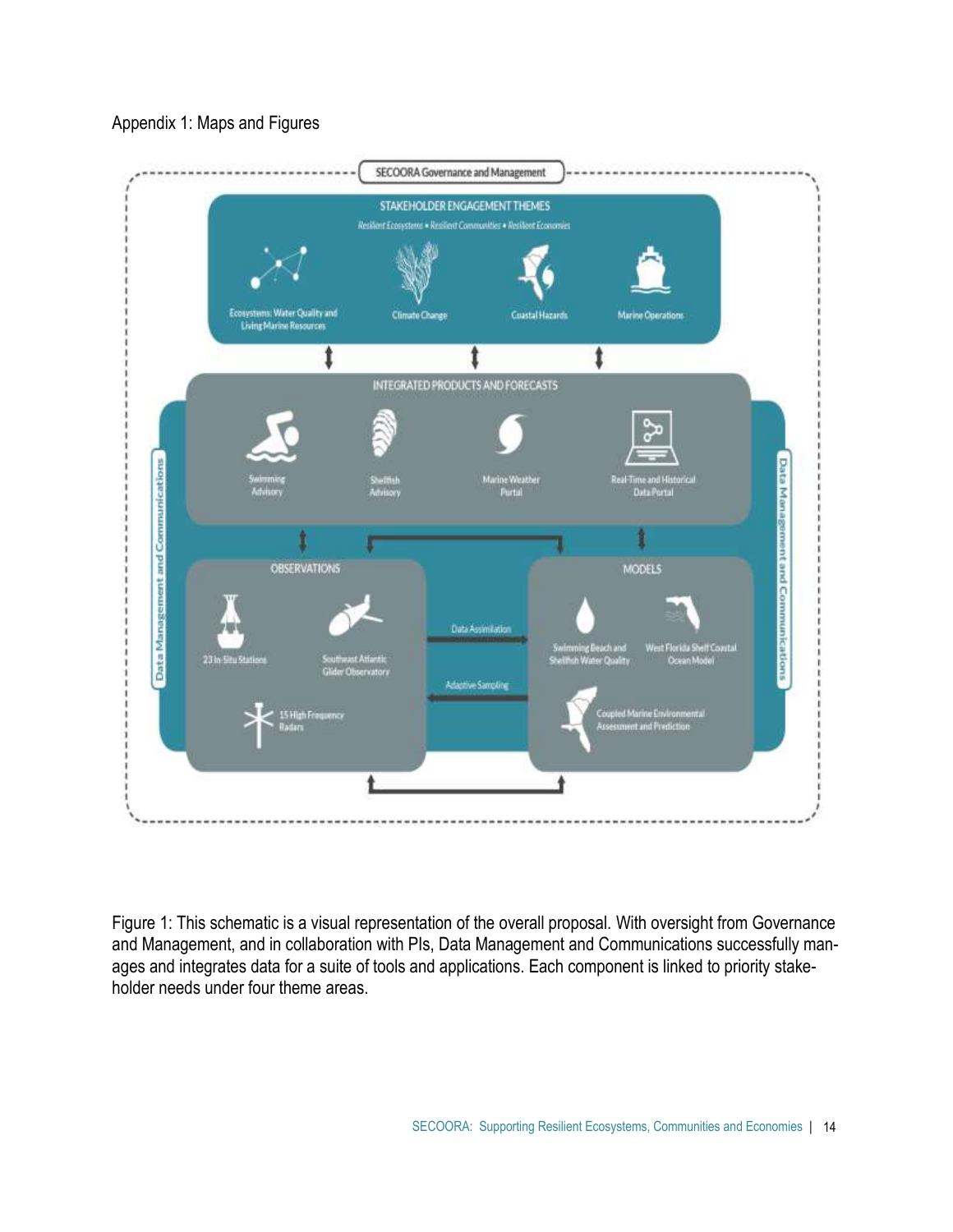

Appendix 1: Maps and Figures

Figure 1: This schematic is a visual representation of the overall proposal. With oversight from Governance and Management, and in collaboration with PIs, Data Management and Communications successfully manages and integrates data for a suite of tools and applications. Each component is linked to priority stakeholder needs under four theme areas.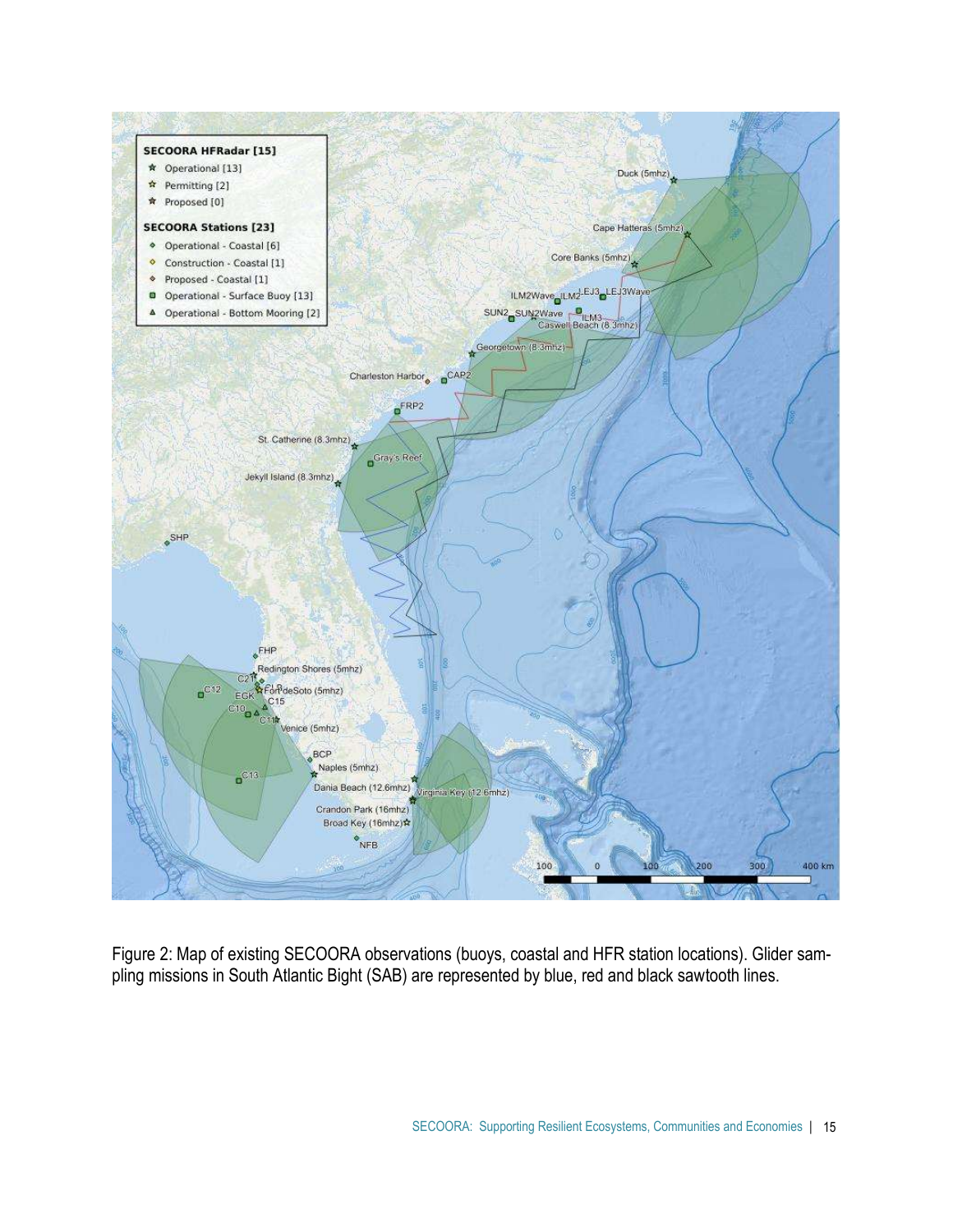

Figure 2: Map of existing SECOORA observations (buoys, coastal and HFR station locations). Glider sampling missions in South Atlantic Bight (SAB) are represented by blue, red and black sawtooth lines.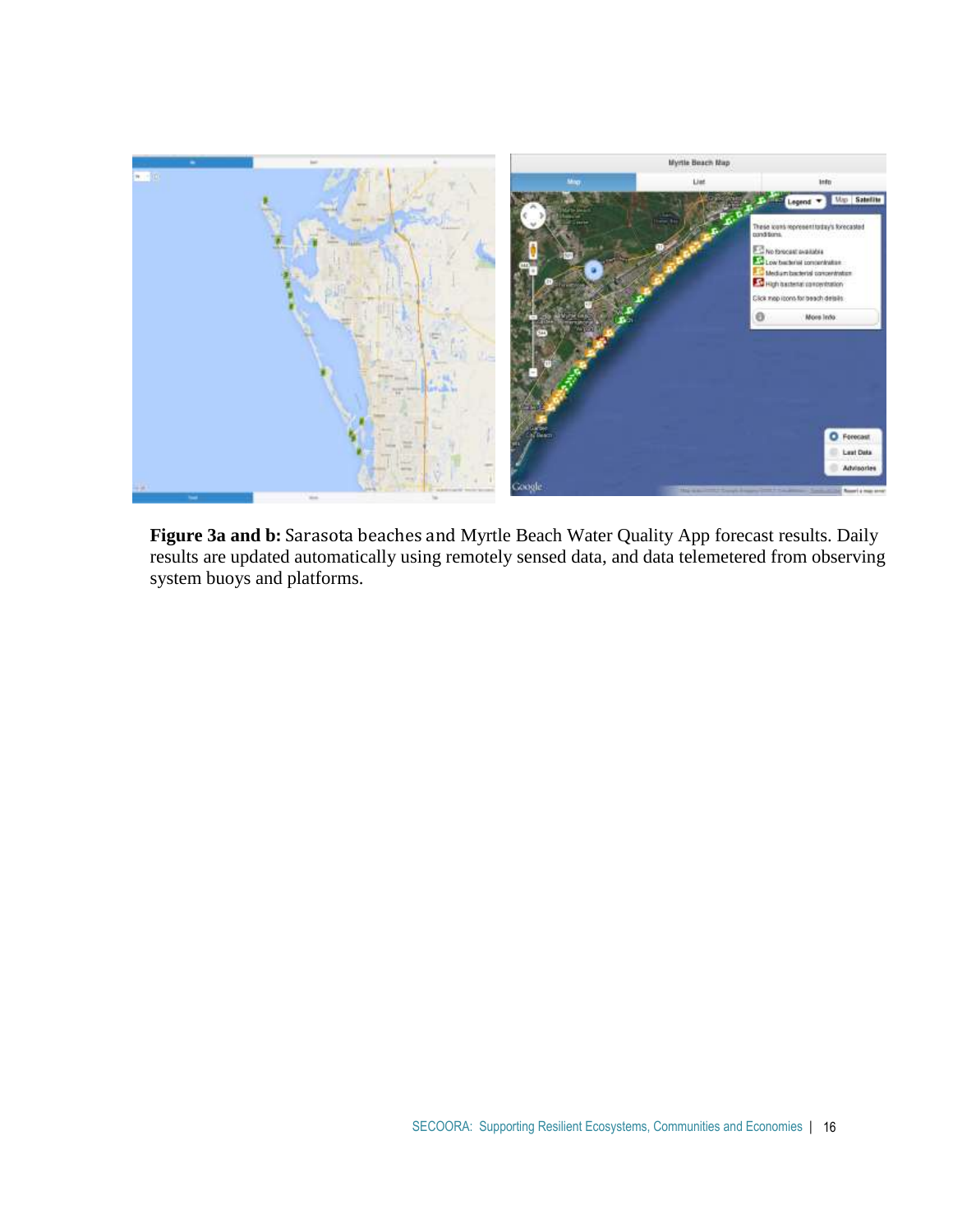

Figure 3a and b: Sarasota beaches and Myrtle Beach Water Quality App forecast results. Daily results are updated automatically using remotely sensed data, and data telemetered from observing system buoys and platforms.